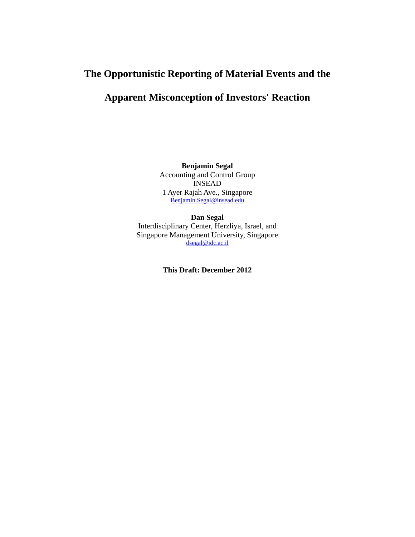# **The Opportunistic Reporting of Material Events and the**

# **Apparent Misconception of Investors' Reaction**

**Benjamin Segal**  Accounting and Control Group INSEAD 1 Ayer Rajah Ave., Singapore Benjamin.Segal@insead.edu

**Dan Segal**  Interdisciplinary Center, Herzliya, Israel, and Singapore Management University, Singapore dsegal@idc.ac.il

**This Draft: December 2012**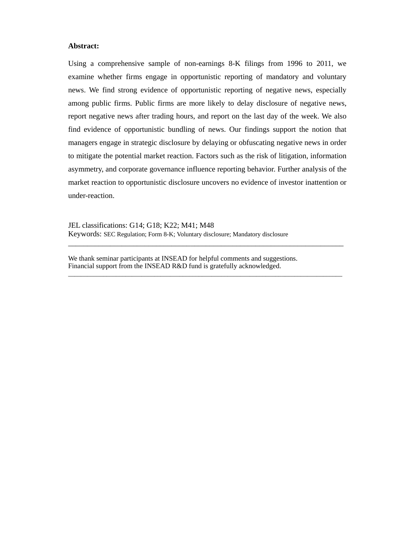### **Abstract:**

Using a comprehensive sample of non-earnings 8-K filings from 1996 to 2011, we examine whether firms engage in opportunistic reporting of mandatory and voluntary news. We find strong evidence of opportunistic reporting of negative news, especially among public firms. Public firms are more likely to delay disclosure of negative news, report negative news after trading hours, and report on the last day of the week. We also find evidence of opportunistic bundling of news. Our findings support the notion that managers engage in strategic disclosure by delaying or obfuscating negative news in order to mitigate the potential market reaction. Factors such as the risk of litigation, information asymmetry, and corporate governance influence reporting behavior. Further analysis of the market reaction to opportunistic disclosure uncovers no evidence of investor inattention or under-reaction.

\_\_\_\_\_\_\_\_\_\_\_\_\_\_\_\_\_\_\_\_\_\_\_\_\_\_\_\_\_\_\_\_\_\_\_\_\_\_\_\_\_\_\_\_\_\_\_\_\_\_\_\_\_\_\_\_\_\_\_\_\_\_\_\_\_\_\_\_\_\_\_\_

\_\_\_\_\_\_\_\_\_\_\_\_\_\_\_\_\_\_\_\_\_\_\_\_\_\_\_\_\_\_\_\_\_\_\_\_\_\_\_\_\_\_\_\_\_\_\_\_\_\_\_\_\_\_\_\_\_\_\_\_\_\_\_\_\_\_\_\_\_\_\_\_\_\_\_\_\_\_\_\_\_\_\_\_\_\_

JEL classifications: G14; G18; K22; M41; M48 Keywords: SEC Regulation; Form 8-K; Voluntary disclosure; Mandatory disclosure

We thank seminar participants at INSEAD for helpful comments and suggestions. Financial support from the INSEAD R&D fund is gratefully acknowledged.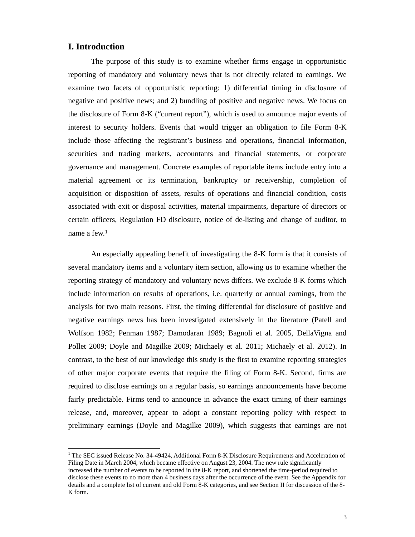### **I. Introduction**

l

The purpose of this study is to examine whether firms engage in opportunistic reporting of mandatory and voluntary news that is not directly related to earnings. We examine two facets of opportunistic reporting: 1) differential timing in disclosure of negative and positive news; and 2) bundling of positive and negative news. We focus on the disclosure of Form 8-K ("current report"), which is used to announce major events of interest to security holders. Events that would trigger an obligation to file Form 8-K include those affecting the registrant's business and operations, financial information, securities and trading markets, accountants and financial statements, or corporate governance and management. Concrete examples of reportable items include entry into a material agreement or its termination, bankruptcy or receivership, completion of acquisition or disposition of assets, results of operations and financial condition, costs associated with exit or disposal activities, material impairments, departure of directors or certain officers, Regulation FD disclosure, notice of de-listing and change of auditor, to name a few.<sup>1</sup>

An especially appealing benefit of investigating the 8-K form is that it consists of several mandatory items and a voluntary item section, allowing us to examine whether the reporting strategy of mandatory and voluntary news differs. We exclude 8-K forms which include information on results of operations, i.e. quarterly or annual earnings, from the analysis for two main reasons. First, the timing differential for disclosure of positive and negative earnings news has been investigated extensively in the literature (Patell and Wolfson 1982; Penman 1987; Damodaran 1989; Bagnoli et al. 2005, DellaVigna and Pollet 2009; Doyle and Magilke 2009; Michaely et al. 2011; Michaely et al. 2012). In contrast, to the best of our knowledge this study is the first to examine reporting strategies of other major corporate events that require the filing of Form 8-K. Second, firms are required to disclose earnings on a regular basis, so earnings announcements have become fairly predictable. Firms tend to announce in advance the exact timing of their earnings release, and, moreover, appear to adopt a constant reporting policy with respect to preliminary earnings (Doyle and Magilke 2009), which suggests that earnings are not

<sup>&</sup>lt;sup>1</sup> The SEC issued Release No. 34-49424, Additional Form 8-K Disclosure Requirements and Acceleration of Filing Date in March 2004, which became effective on August 23, 2004. The new rule significantly increased the number of events to be reported in the 8-K report, and shortened the time-period required to

disclose these events to no more than 4 business days after the occurrence of the event. See the Appendix for details and a complete list of current and old Form 8-K categories, and see Section II for discussion of the 8- K form.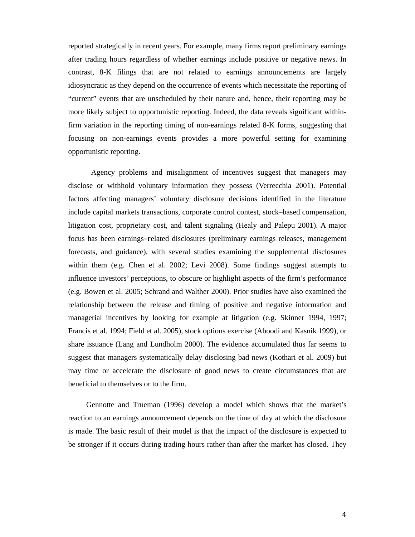reported strategically in recent years. For example, many firms report preliminary earnings after trading hours regardless of whether earnings include positive or negative news. In contrast, 8-K filings that are not related to earnings announcements are largely idiosyncratic as they depend on the occurrence of events which necessitate the reporting of "current" events that are unscheduled by their nature and, hence, their reporting may be more likely subject to opportunistic reporting. Indeed, the data reveals significant withinfirm variation in the reporting timing of non-earnings related 8-K forms, suggesting that focusing on non-earnings events provides a more powerful setting for examining opportunistic reporting.

Agency problems and misalignment of incentives suggest that managers may disclose or withhold voluntary information they possess (Verrecchia 2001). Potential factors affecting managers' voluntary disclosure decisions identified in the literature include capital markets transactions, corporate control contest, stock–based compensation, litigation cost, proprietary cost, and talent signaling (Healy and Palepu 2001). A major focus has been earnings–related disclosures (preliminary earnings releases, management forecasts, and guidance), with several studies examining the supplemental disclosures within them (e.g. Chen et al. 2002; Levi 2008). Some findings suggest attempts to influence investors' perceptions, to obscure or highlight aspects of the firm's performance (e.g. Bowen et al. 2005; Schrand and Walther 2000). Prior studies have also examined the relationship between the release and timing of positive and negative information and managerial incentives by looking for example at litigation (e.g. Skinner 1994, 1997; Francis et al. 1994; Field et al. 2005), stock options exercise (Aboodi and Kasnik 1999), or share issuance (Lang and Lundholm 2000). The evidence accumulated thus far seems to suggest that managers systematically delay disclosing bad news (Kothari et al. 2009) but may time or accelerate the disclosure of good news to create circumstances that are beneficial to themselves or to the firm.

Gennotte and Trueman (1996) develop a model which shows that the market's reaction to an earnings announcement depends on the time of day at which the disclosure is made. The basic result of their model is that the impact of the disclosure is expected to be stronger if it occurs during trading hours rather than after the market has closed. They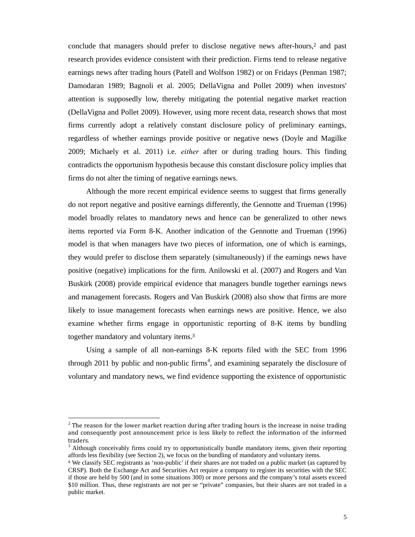conclude that managers should prefer to disclose negative news after-hours,2 and past research provides evidence consistent with their prediction. Firms tend to release negative earnings news after trading hours (Patell and Wolfson 1982) or on Fridays (Penman 1987; Damodaran 1989; Bagnoli et al. 2005; DellaVigna and Pollet 2009) when investors' attention is supposedly low, thereby mitigating the potential negative market reaction (DellaVigna and Pollet 2009). However, using more recent data, research shows that most firms currently adopt a relatively constant disclosure policy of preliminary earnings, regardless of whether earnings provide positive or negative news (Doyle and Magilke 2009; Michaely et al. 2011) i.e. *either* after or during trading hours. This finding contradicts the opportunism hypothesis because this constant disclosure policy implies that firms do not alter the timing of negative earnings news.

Although the more recent empirical evidence seems to suggest that firms generally do not report negative and positive earnings differently, the Gennotte and Trueman (1996) model broadly relates to mandatory news and hence can be generalized to other news items reported via Form 8-K. Another indication of the Gennotte and Trueman (1996) model is that when managers have two pieces of information, one of which is earnings, they would prefer to disclose them separately (simultaneously) if the earnings news have positive (negative) implications for the firm. Anilowski et al. (2007) and Rogers and Van Buskirk (2008) provide empirical evidence that managers bundle together earnings news and management forecasts. Rogers and Van Buskirk (2008) also show that firms are more likely to issue management forecasts when earnings news are positive. Hence, we also examine whether firms engage in opportunistic reporting of 8-K items by bundling together mandatory and voluntary items.<sup>3</sup>

Using a sample of all non-earnings 8-K reports filed with the SEC from 1996 through 2011 by public and non-public firms<sup>4</sup>, and examining separately the disclosure of voluntary and mandatory news, we find evidence supporting the existence of opportunistic

l

 $2$  The reason for the lower market reaction during after trading hours is the increase in noise trading and consequently post announcement price is less likely to reflect the information of the informed traders.<br><sup>3</sup> Although conceivably firms could try to opportunistically bundle mandatory items, given their reporting

affords less flexibility (see Section 2), we focus on the bundling of mandatory and voluntary items.

<sup>4</sup> We classify SEC registrants as 'non-public' if their shares are not traded on a public market (as captured by CRSP). Both the Exchange Act and Securities Act require a company to register its securities with the SEC if those are held by 500 (and in some situations 300) or more persons and the company's total assets exceed \$10 million. Thus, these registrants are not per se "private" companies, but their shares are not traded in a public market.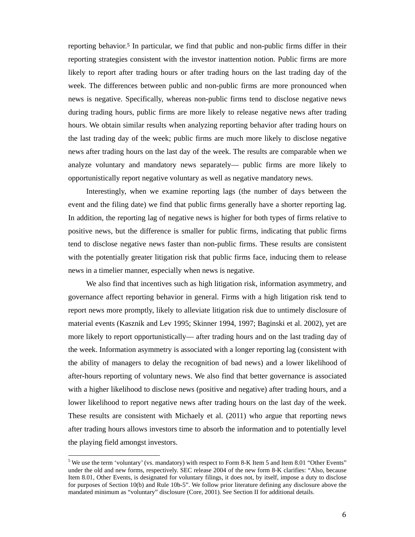reporting behavior.5 In particular, we find that public and non-public firms differ in their reporting strategies consistent with the investor inattention notion. Public firms are more likely to report after trading hours or after trading hours on the last trading day of the week. The differences between public and non-public firms are more pronounced when news is negative. Specifically, whereas non-public firms tend to disclose negative news during trading hours, public firms are more likely to release negative news after trading hours. We obtain similar results when analyzing reporting behavior after trading hours on the last trading day of the week; public firms are much more likely to disclose negative news after trading hours on the last day of the week. The results are comparable when we analyze voluntary and mandatory news separately— public firms are more likely to opportunistically report negative voluntary as well as negative mandatory news.

Interestingly, when we examine reporting lags (the number of days between the event and the filing date) we find that public firms generally have a shorter reporting lag. In addition, the reporting lag of negative news is higher for both types of firms relative to positive news, but the difference is smaller for public firms, indicating that public firms tend to disclose negative news faster than non-public firms. These results are consistent with the potentially greater litigation risk that public firms face, inducing them to release news in a timelier manner, especially when news is negative.

We also find that incentives such as high litigation risk, information asymmetry, and governance affect reporting behavior in general. Firms with a high litigation risk tend to report news more promptly, likely to alleviate litigation risk due to untimely disclosure of material events (Kasznik and Lev 1995; Skinner 1994, 1997; Baginski et al. 2002), yet are more likely to report opportunistically— after trading hours and on the last trading day of the week. Information asymmetry is associated with a longer reporting lag (consistent with the ability of managers to delay the recognition of bad news) and a lower likelihood of after-hours reporting of voluntary news. We also find that better governance is associated with a higher likelihood to disclose news (positive and negative) after trading hours, and a lower likelihood to report negative news after trading hours on the last day of the week. These results are consistent with Michaely et al. (2011) who argue that reporting news after trading hours allows investors time to absorb the information and to potentially level the playing field amongst investors.

l

<sup>5</sup> We use the term 'voluntary' (vs. mandatory) with respect to Form 8-K Item 5 and Item 8.01 "Other Events" under the old and new forms, respectively. SEC release 2004 of the new form 8-K clarifies: "Also, because Item 8.01, Other Events, is designated for voluntary filings, it does not, by itself, impose a duty to disclose for purposes of Section 10(b) and Rule 10b-5". We follow prior literature defining any disclosure above the mandated minimum as "voluntary" disclosure (Core, 2001). See Section II for additional details.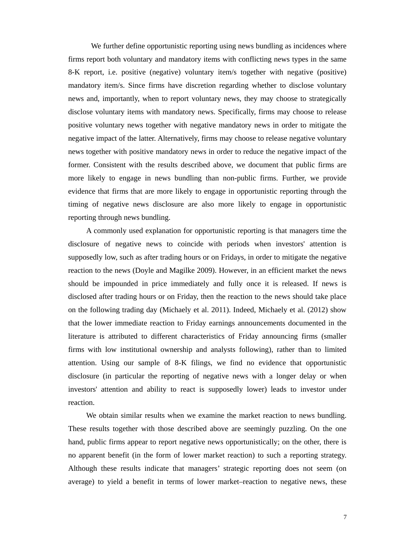We further define opportunistic reporting using news bundling as incidences where firms report both voluntary and mandatory items with conflicting news types in the same 8-K report, i.e. positive (negative) voluntary item/s together with negative (positive) mandatory item/s. Since firms have discretion regarding whether to disclose voluntary news and, importantly, when to report voluntary news, they may choose to strategically disclose voluntary items with mandatory news. Specifically, firms may choose to release positive voluntary news together with negative mandatory news in order to mitigate the negative impact of the latter. Alternatively, firms may choose to release negative voluntary news together with positive mandatory news in order to reduce the negative impact of the former. Consistent with the results described above, we document that public firms are more likely to engage in news bundling than non-public firms. Further, we provide evidence that firms that are more likely to engage in opportunistic reporting through the timing of negative news disclosure are also more likely to engage in opportunistic reporting through news bundling.

A commonly used explanation for opportunistic reporting is that managers time the disclosure of negative news to coincide with periods when investors' attention is supposedly low, such as after trading hours or on Fridays, in order to mitigate the negative reaction to the news (Doyle and Magilke 2009). However, in an efficient market the news should be impounded in price immediately and fully once it is released. If news is disclosed after trading hours or on Friday, then the reaction to the news should take place on the following trading day (Michaely et al. 2011). Indeed, Michaely et al. (2012) show that the lower immediate reaction to Friday earnings announcements documented in the literature is attributed to different characteristics of Friday announcing firms (smaller firms with low institutional ownership and analysts following), rather than to limited attention. Using our sample of 8-K filings, we find no evidence that opportunistic disclosure (in particular the reporting of negative news with a longer delay or when investors' attention and ability to react is supposedly lower) leads to investor under reaction.

We obtain similar results when we examine the market reaction to news bundling. These results together with those described above are seemingly puzzling. On the one hand, public firms appear to report negative news opportunistically; on the other, there is no apparent benefit (in the form of lower market reaction) to such a reporting strategy. Although these results indicate that managers' strategic reporting does not seem (on average) to yield a benefit in terms of lower market–reaction to negative news, these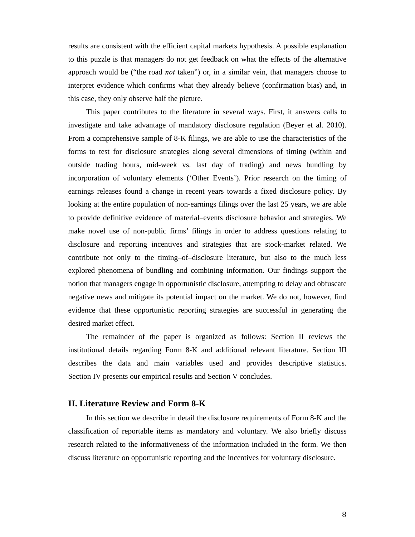results are consistent with the efficient capital markets hypothesis. A possible explanation to this puzzle is that managers do not get feedback on what the effects of the alternative approach would be ("the road *not* taken") or, in a similar vein, that managers choose to interpret evidence which confirms what they already believe (confirmation bias) and, in this case, they only observe half the picture.

This paper contributes to the literature in several ways. First, it answers calls to investigate and take advantage of mandatory disclosure regulation (Beyer et al. 2010). From a comprehensive sample of 8-K filings, we are able to use the characteristics of the forms to test for disclosure strategies along several dimensions of timing (within and outside trading hours, mid-week vs. last day of trading) and news bundling by incorporation of voluntary elements ('Other Events'). Prior research on the timing of earnings releases found a change in recent years towards a fixed disclosure policy. By looking at the entire population of non-earnings filings over the last 25 years, we are able to provide definitive evidence of material–events disclosure behavior and strategies. We make novel use of non-public firms' filings in order to address questions relating to disclosure and reporting incentives and strategies that are stock-market related. We contribute not only to the timing–of–disclosure literature, but also to the much less explored phenomena of bundling and combining information. Our findings support the notion that managers engage in opportunistic disclosure, attempting to delay and obfuscate negative news and mitigate its potential impact on the market. We do not, however, find evidence that these opportunistic reporting strategies are successful in generating the desired market effect.

The remainder of the paper is organized as follows: Section II reviews the institutional details regarding Form 8-K and additional relevant literature. Section III describes the data and main variables used and provides descriptive statistics. Section IV presents our empirical results and Section V concludes.

### **II. Literature Review and Form 8-K**

In this section we describe in detail the disclosure requirements of Form 8-K and the classification of reportable items as mandatory and voluntary. We also briefly discuss research related to the informativeness of the information included in the form. We then discuss literature on opportunistic reporting and the incentives for voluntary disclosure.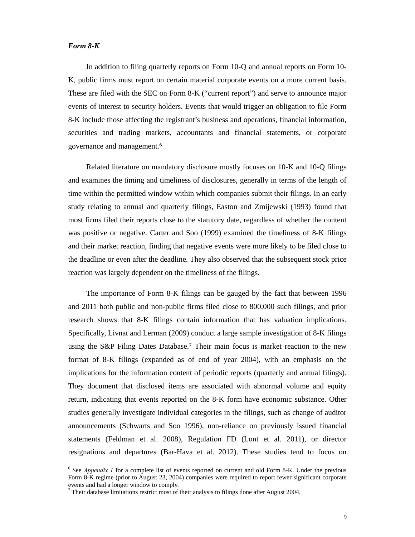### *Form 8-K*

l

In addition to filing quarterly reports on Form 10-Q and annual reports on Form 10- K, public firms must report on certain material corporate events on a more current basis. These are filed with the SEC on Form 8-K ("current report") and serve to announce major events of interest to security holders. Events that would trigger an obligation to file Form 8-K include those affecting the registrant's business and operations, financial information, securities and trading markets, accountants and financial statements, or corporate governance and management.<sup>6</sup>

Related literature on mandatory disclosure mostly focuses on 10-K and 10-Q filings and examines the timing and timeliness of disclosures, generally in terms of the length of time within the permitted window within which companies submit their filings. In an early study relating to annual and quarterly filings, Easton and Zmijewski (1993) found that most firms filed their reports close to the statutory date, regardless of whether the content was positive or negative. Carter and Soo (1999) examined the timeliness of 8-K filings and their market reaction, finding that negative events were more likely to be filed close to the deadline or even after the deadline. They also observed that the subsequent stock price reaction was largely dependent on the timeliness of the filings.

The importance of Form 8-K filings can be gauged by the fact that between 1996 and 2011 both public and non-public firms filed close to 800,000 such filings, and prior research shows that 8-K filings contain information that has valuation implications. Specifically, Livnat and Lerman (2009) conduct a large sample investigation of 8-K filings using the S&P Filing Dates Database.7 Their main focus is market reaction to the new format of 8-K filings (expanded as of end of year 2004), with an emphasis on the implications for the information content of periodic reports (quarterly and annual filings). They document that disclosed items are associated with abnormal volume and equity return, indicating that events reported on the 8-K form have economic substance. Other studies generally investigate individual categories in the filings, such as change of auditor announcements (Schwarts and Soo 1996), non-reliance on previously issued financial statements (Feldman et al. 2008), Regulation FD (Lont et al. 2011), or director resignations and departures (Bar-Hava et al. 2012). These studies tend to focus on

<sup>6</sup> See *Appendix 1* for a complete list of events reported on current and old Form 8-K. Under the previous Form 8-K regime (prior to August 23, 2004) companies were required to report fewer significant corporate events and had a longer window to comply.

Their database limitations restrict most of their analysis to filings done after August 2004.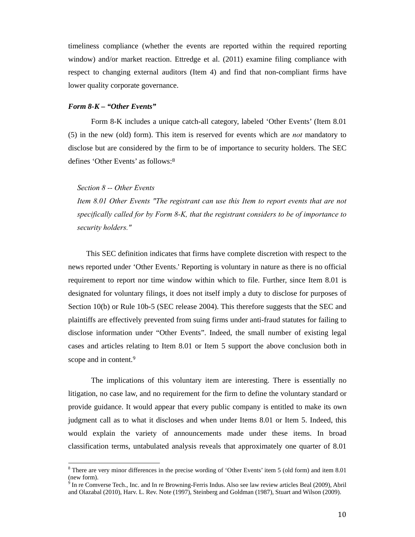timeliness compliance (whether the events are reported within the required reporting window) and/or market reaction. Ettredge et al. (2011) examine filing compliance with respect to changing external auditors (Item 4) and find that non-compliant firms have lower quality corporate governance.

#### *Form 8-K – "Other Events"*

 Form 8-K includes a unique catch-all category, labeled 'Other Events' (Item 8.01 (5) in the new (old) form). This item is reserved for events which are *not* mandatory to disclose but are considered by the firm to be of importance to security holders. The SEC defines 'Other Events' as follows:<sup>8</sup>

#### *Section 8 -- Other Events*

l

*Item 8.01 Other Events "The registrant can use this Item to report events that are not specifically called for by Form 8-K, that the registrant considers to be of importance to security holders."*

This SEC definition indicates that firms have complete discretion with respect to the news reported under 'Other Events.' Reporting is voluntary in nature as there is no official requirement to report nor time window within which to file. Further, since Item 8.01 is designated for voluntary filings, it does not itself imply a duty to disclose for purposes of Section 10(b) or Rule 10b-5 (SEC release 2004). This therefore suggests that the SEC and plaintiffs are effectively prevented from suing firms under anti-fraud statutes for failing to disclose information under "Other Events". Indeed, the small number of existing legal cases and articles relating to Item 8.01 or Item 5 support the above conclusion both in scope and in content.<sup>9</sup>

The implications of this voluntary item are interesting. There is essentially no litigation, no case law, and no requirement for the firm to define the voluntary standard or provide guidance. It would appear that every public company is entitled to make its own judgment call as to what it discloses and when under Items 8.01 or Item 5. Indeed, this would explain the variety of announcements made under these items. In broad classification terms, untabulated analysis reveals that approximately one quarter of 8.01

<sup>&</sup>lt;sup>8</sup> There are very minor differences in the precise wording of 'Other Events' item 5 (old form) and item 8.01 (new form).

<sup>9</sup> In re Comverse Tech., Inc. and In re Browning-Ferris Indus. Also see law review articles Beal (2009), Abril and Olazabal (2010), Harv. L. Rev. Note (1997), Steinberg and Goldman (1987), Stuart and Wilson (2009).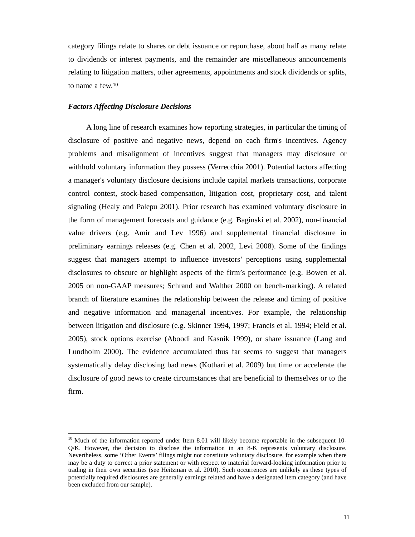category filings relate to shares or debt issuance or repurchase, about half as many relate to dividends or interest payments, and the remainder are miscellaneous announcements relating to litigation matters, other agreements, appointments and stock dividends or splits, to name a few.<sup>10</sup>

#### *Factors Affecting Disclosure Decisions*

l

A long line of research examines how reporting strategies, in particular the timing of disclosure of positive and negative news, depend on each firm's incentives. Agency problems and misalignment of incentives suggest that managers may disclosure or withhold voluntary information they possess (Verrecchia 2001). Potential factors affecting a manager's voluntary disclosure decisions include capital markets transactions, corporate control contest, stock-based compensation, litigation cost, proprietary cost, and talent signaling (Healy and Palepu 2001). Prior research has examined voluntary disclosure in the form of management forecasts and guidance (e.g. Baginski et al. 2002), non-financial value drivers (e.g. Amir and Lev 1996) and supplemental financial disclosure in preliminary earnings releases (e.g. Chen et al. 2002, Levi 2008). Some of the findings suggest that managers attempt to influence investors' perceptions using supplemental disclosures to obscure or highlight aspects of the firm's performance (e.g. Bowen et al. 2005 on non-GAAP measures; Schrand and Walther 2000 on bench-marking). A related branch of literature examines the relationship between the release and timing of positive and negative information and managerial incentives. For example, the relationship between litigation and disclosure (e.g. Skinner 1994, 1997; Francis et al. 1994; Field et al. 2005), stock options exercise (Aboodi and Kasnik 1999), or share issuance (Lang and Lundholm 2000). The evidence accumulated thus far seems to suggest that managers systematically delay disclosing bad news (Kothari et al. 2009) but time or accelerate the disclosure of good news to create circumstances that are beneficial to themselves or to the firm.

 $10$  Much of the information reported under Item 8.01 will likely become reportable in the subsequent 10-Q/K. However, the decision to disclose the information in an 8-K represents voluntary disclosure. Nevertheless, some 'Other Events' filings might not constitute voluntary disclosure, for example when there may be a duty to correct a prior statement or with respect to material forward-looking information prior to trading in their own securities (see Heitzman et al. 2010). Such occurrences are unlikely as these types of potentially required disclosures are generally earnings related and have a designated item category (and have been excluded from our sample).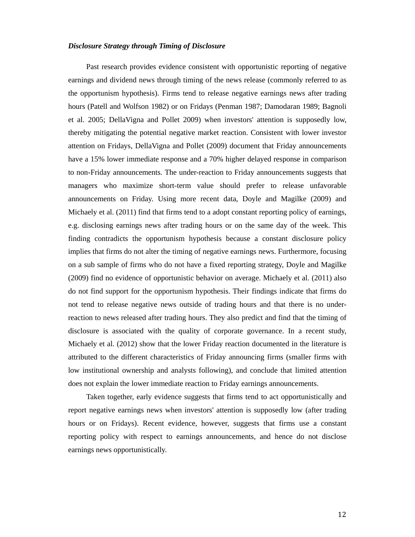### *Disclosure Strategy through Timing of Disclosure*

Past research provides evidence consistent with opportunistic reporting of negative earnings and dividend news through timing of the news release (commonly referred to as the opportunism hypothesis). Firms tend to release negative earnings news after trading hours (Patell and Wolfson 1982) or on Fridays (Penman 1987; Damodaran 1989; Bagnoli et al. 2005; DellaVigna and Pollet 2009) when investors' attention is supposedly low, thereby mitigating the potential negative market reaction. Consistent with lower investor attention on Fridays, DellaVigna and Pollet (2009) document that Friday announcements have a 15% lower immediate response and a 70% higher delayed response in comparison to non-Friday announcements. The under-reaction to Friday announcements suggests that managers who maximize short-term value should prefer to release unfavorable announcements on Friday. Using more recent data, Doyle and Magilke (2009) and Michaely et al. (2011) find that firms tend to a adopt constant reporting policy of earnings, e.g. disclosing earnings news after trading hours or on the same day of the week. This finding contradicts the opportunism hypothesis because a constant disclosure policy implies that firms do not alter the timing of negative earnings news. Furthermore, focusing on a sub sample of firms who do not have a fixed reporting strategy, Doyle and Magilke (2009) find no evidence of opportunistic behavior on average. Michaely et al. (2011) also do not find support for the opportunism hypothesis. Their findings indicate that firms do not tend to release negative news outside of trading hours and that there is no underreaction to news released after trading hours. They also predict and find that the timing of disclosure is associated with the quality of corporate governance. In a recent study, Michaely et al. (2012) show that the lower Friday reaction documented in the literature is attributed to the different characteristics of Friday announcing firms (smaller firms with low institutional ownership and analysts following), and conclude that limited attention does not explain the lower immediate reaction to Friday earnings announcements.

Taken together, early evidence suggests that firms tend to act opportunistically and report negative earnings news when investors' attention is supposedly low (after trading hours or on Fridays). Recent evidence, however, suggests that firms use a constant reporting policy with respect to earnings announcements, and hence do not disclose earnings news opportunistically.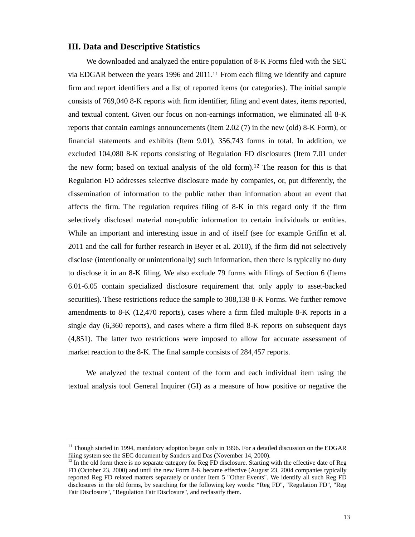### **III. Data and Descriptive Statistics**

We downloaded and analyzed the entire population of 8-K Forms filed with the SEC via EDGAR between the years 1996 and 2011.11 From each filing we identify and capture firm and report identifiers and a list of reported items (or categories). The initial sample consists of 769,040 8-K reports with firm identifier, filing and event dates, items reported, and textual content. Given our focus on non-earnings information, we eliminated all 8-K reports that contain earnings announcements (Item 2.02 (7) in the new (old) 8-K Form), or financial statements and exhibits (Item 9.01), 356,743 forms in total. In addition, we excluded 104,080 8-K reports consisting of Regulation FD disclosures (Item 7.01 under the new form; based on textual analysis of the old form).12 The reason for this is that Regulation FD addresses selective disclosure made by companies, or, put differently, the dissemination of information to the public rather than information about an event that affects the firm. The regulation requires filing of 8-K in this regard only if the firm selectively disclosed material non-public information to certain individuals or entities. While an important and interesting issue in and of itself (see for example Griffin et al. 2011 and the call for further research in Beyer et al. 2010), if the firm did not selectively disclose (intentionally or unintentionally) such information, then there is typically no duty to disclose it in an 8-K filing. We also exclude 79 forms with filings of Section 6 (Items 6.01-6.05 contain specialized disclosure requirement that only apply to asset-backed securities). These restrictions reduce the sample to 308,138 8-K Forms. We further remove amendments to 8-K (12,470 reports), cases where a firm filed multiple 8-K reports in a single day (6,360 reports), and cases where a firm filed 8-K reports on subsequent days (4,851). The latter two restrictions were imposed to allow for accurate assessment of market reaction to the 8-K. The final sample consists of 284,457 reports.

We analyzed the textual content of the form and each individual item using the textual analysis tool General Inquirer (GI) as a measure of how positive or negative the

l

<sup>&</sup>lt;sup>11</sup> Though started in 1994, mandatory adoption began only in 1996. For a detailed discussion on the EDGAR filing system see the SEC document by Sanders and Das (November 14, 2000).

 $12$  In the old form there is no separate category for Reg FD disclosure. Starting with the effective date of Reg FD (October 23, 2000) and until the new Form 8-K became effective (August 23, 2004 companies typically reported Reg FD related matters separately or under Item 5 "Other Events". We identify all such Reg FD disclosures in the old forms, by searching for the following key words: "Reg FD", "Regulation FD", "Reg Fair Disclosure", "Regulation Fair Disclosure", and reclassify them.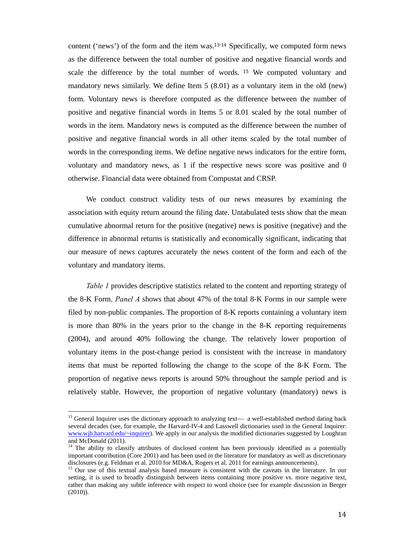content ('news') of the form and the item was.<sup>13,14</sup> Specifically, we computed form news as the difference between the total number of positive and negative financial words and scale the difference by the total number of words. <sup>15</sup> We computed voluntary and mandatory news similarly. We define Item 5 (8.01) as a voluntary item in the old (new) form. Voluntary news is therefore computed as the difference between the number of positive and negative financial words in Items 5 or 8.01 scaled by the total number of words in the item. Mandatory news is computed as the difference between the number of positive and negative financial words in all other items scaled by the total number of words in the corresponding items. We define negative news indicators for the entire form, voluntary and mandatory news, as 1 if the respective news score was positive and 0 otherwise. Financial data were obtained from Compustat and CRSP.

We conduct construct validity tests of our news measures by examining the association with equity return around the filing date. Untabulated tests show that the mean cumulative abnormal return for the positive (negative) news is positive (negative) and the difference in abnormal returns is statistically and economically significant, indicating that our measure of news captures accurately the news content of the form and each of the voluntary and mandatory items.

*Table 1* provides descriptive statistics related to the content and reporting strategy of the 8-K Form. *Panel A* shows that about 47% of the total 8-K Forms in our sample were filed by non-public companies. The proportion of 8-K reports containing a voluntary item is more than 80% in the years prior to the change in the 8-K reporting requirements (2004), and around 40% following the change. The relatively lower proportion of voluntary items in the post-change period is consistent with the increase in mandatory items that must be reported following the change to the scope of the 8-K Form. The proportion of negative news reports is around 50% throughout the sample period and is relatively stable. However, the proportion of negative voluntary (mandatory) news is

l

 $13$  General Inquirer uses the dictionary approach to analyzing text— a well-established method dating back several decades (see, for example, the Harvard-IV-4 and Lasswell dictionaries used in the General Inquirer: www.wjh.harvard.edu/~inquirer). We apply in our analysis the modified dictionaries suggested by Loughran and McDonald (2011).

<sup>&</sup>lt;sup>14</sup> The ability to classify attributes of disclosed content has been previously identified as a potentially important contribution (Core 2001) and has been used in the literature for mandatory as well as discretionary disclosures (e.g. Feldman et al. 2010 for MD&A, Rogers et al. 2011 for earnings announcements).

<sup>&</sup>lt;sup>15</sup> Our use of this textual analysis based measure is consistent with the caveats in the literature. In our setting, it is used to broadly distinguish between items containing more positive vs. more negative text, rather than making any subtle inference with respect to word choice (see for example discussion in Berger (2010)).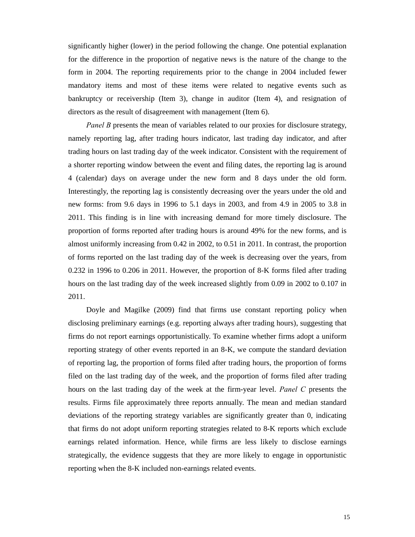significantly higher (lower) in the period following the change. One potential explanation for the difference in the proportion of negative news is the nature of the change to the form in 2004. The reporting requirements prior to the change in 2004 included fewer mandatory items and most of these items were related to negative events such as bankruptcy or receivership (Item 3), change in auditor (Item 4), and resignation of directors as the result of disagreement with management (Item 6).

*Panel B* presents the mean of variables related to our proxies for disclosure strategy, namely reporting lag, after trading hours indicator, last trading day indicator, and after trading hours on last trading day of the week indicator. Consistent with the requirement of a shorter reporting window between the event and filing dates, the reporting lag is around 4 (calendar) days on average under the new form and 8 days under the old form. Interestingly, the reporting lag is consistently decreasing over the years under the old and new forms: from 9.6 days in 1996 to 5.1 days in 2003, and from 4.9 in 2005 to 3.8 in 2011. This finding is in line with increasing demand for more timely disclosure. The proportion of forms reported after trading hours is around 49% for the new forms, and is almost uniformly increasing from 0.42 in 2002, to 0.51 in 2011. In contrast, the proportion of forms reported on the last trading day of the week is decreasing over the years, from 0.232 in 1996 to 0.206 in 2011. However, the proportion of 8-K forms filed after trading hours on the last trading day of the week increased slightly from 0.09 in 2002 to 0.107 in 2011.

Doyle and Magilke (2009) find that firms use constant reporting policy when disclosing preliminary earnings (e.g. reporting always after trading hours), suggesting that firms do not report earnings opportunistically. To examine whether firms adopt a uniform reporting strategy of other events reported in an 8-K, we compute the standard deviation of reporting lag, the proportion of forms filed after trading hours, the proportion of forms filed on the last trading day of the week, and the proportion of forms filed after trading hours on the last trading day of the week at the firm-year level. *Panel C* presents the results. Firms file approximately three reports annually. The mean and median standard deviations of the reporting strategy variables are significantly greater than 0, indicating that firms do not adopt uniform reporting strategies related to 8-K reports which exclude earnings related information. Hence, while firms are less likely to disclose earnings strategically, the evidence suggests that they are more likely to engage in opportunistic reporting when the 8-K included non-earnings related events.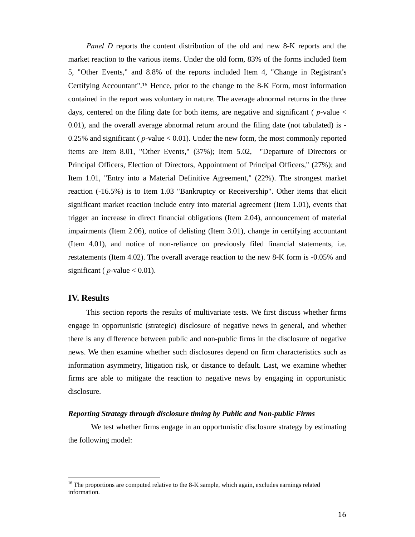*Panel D* reports the content distribution of the old and new 8-K reports and the market reaction to the various items. Under the old form, 83% of the forms included Item 5, "Other Events," and 8.8% of the reports included Item 4, "Change in Registrant's Certifying Accountant".16 Hence, prior to the change to the 8-K Form, most information contained in the report was voluntary in nature. The average abnormal returns in the three days, centered on the filing date for both items, are negative and significant ( *p*-value < 0.01), and the overall average abnormal return around the filing date (not tabulated) is - 0.25% and significant ( *p*-value < 0.01). Under the new form, the most commonly reported items are Item 8.01, "Other Events," (37%); Item 5.02, "Departure of Directors or Principal Officers, Election of Directors, Appointment of Principal Officers," (27%); and Item 1.01, "Entry into a Material Definitive Agreement," (22%). The strongest market reaction (-16.5%) is to Item 1.03 "Bankruptcy or Receivership". Other items that elicit significant market reaction include entry into material agreement (Item 1.01), events that trigger an increase in direct financial obligations (Item 2.04), announcement of material impairments (Item 2.06), notice of delisting (Item 3.01), change in certifying accountant (Item 4.01), and notice of non-reliance on previously filed financial statements, i.e. restatements (Item 4.02). The overall average reaction to the new 8-K form is -0.05% and significant ( $p$ -value  $< 0.01$ ).

### **IV. Results**

l

This section reports the results of multivariate tests. We first discuss whether firms engage in opportunistic (strategic) disclosure of negative news in general, and whether there is any difference between public and non-public firms in the disclosure of negative news. We then examine whether such disclosures depend on firm characteristics such as information asymmetry, litigation risk, or distance to default. Last, we examine whether firms are able to mitigate the reaction to negative news by engaging in opportunistic disclosure.

#### *Reporting Strategy through disclosure timing by Public and Non-public Firms*

We test whether firms engage in an opportunistic disclosure strategy by estimating the following model:

 $16$  The proportions are computed relative to the 8-K sample, which again, excludes earnings related information.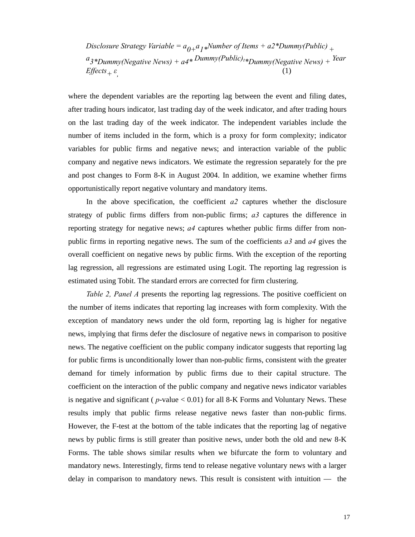*Disclosure Strategy Variable* =  $a_{0+}a_1*$ *Number of Items* +  $a2*$ *Dummy*(*Public*)  $_+$ *a3\*Dummy(Negative News) + a4\* Dummy(Public)t \*Dummy(Negative News) + Year Effects*<sub>+</sub>  $ε$ *,* (1)

where the dependent variables are the reporting lag between the event and filing dates, after trading hours indicator, last trading day of the week indicator, and after trading hours on the last trading day of the week indicator. The independent variables include the number of items included in the form, which is a proxy for form complexity; indicator variables for public firms and negative news; and interaction variable of the public company and negative news indicators. We estimate the regression separately for the pre and post changes to Form 8-K in August 2004. In addition, we examine whether firms opportunistically report negative voluntary and mandatory items.

In the above specification, the coefficient *a2* captures whether the disclosure strategy of public firms differs from non-public firms; *a3* captures the difference in reporting strategy for negative news; *a4* captures whether public firms differ from nonpublic firms in reporting negative news. The sum of the coefficients *a3* and *a4* gives the overall coefficient on negative news by public firms. With the exception of the reporting lag regression, all regressions are estimated using Logit. The reporting lag regression is estimated using Tobit. The standard errors are corrected for firm clustering.

*Table 2, Panel A* presents the reporting lag regressions. The positive coefficient on the number of items indicates that reporting lag increases with form complexity. With the exception of mandatory news under the old form, reporting lag is higher for negative news, implying that firms defer the disclosure of negative news in comparison to positive news. The negative coefficient on the public company indicator suggests that reporting lag for public firms is unconditionally lower than non-public firms, consistent with the greater demand for timely information by public firms due to their capital structure. The coefficient on the interaction of the public company and negative news indicator variables is negative and significant ( $p$ -value  $< 0.01$ ) for all 8-K Forms and Voluntary News. These results imply that public firms release negative news faster than non-public firms. However, the F-test at the bottom of the table indicates that the reporting lag of negative news by public firms is still greater than positive news, under both the old and new 8-K Forms. The table shows similar results when we bifurcate the form to voluntary and mandatory news. Interestingly, firms tend to release negative voluntary news with a larger delay in comparison to mandatory news. This result is consistent with intuition — the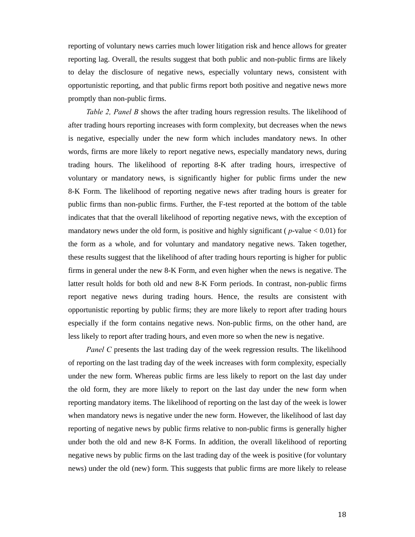reporting of voluntary news carries much lower litigation risk and hence allows for greater reporting lag. Overall, the results suggest that both public and non-public firms are likely to delay the disclosure of negative news, especially voluntary news, consistent with opportunistic reporting, and that public firms report both positive and negative news more promptly than non-public firms.

*Table 2, Panel B* shows the after trading hours regression results. The likelihood of after trading hours reporting increases with form complexity, but decreases when the news is negative, especially under the new form which includes mandatory news. In other words, firms are more likely to report negative news, especially mandatory news, during trading hours. The likelihood of reporting 8-K after trading hours, irrespective of voluntary or mandatory news, is significantly higher for public firms under the new 8-K Form. The likelihood of reporting negative news after trading hours is greater for public firms than non-public firms. Further, the F-test reported at the bottom of the table indicates that that the overall likelihood of reporting negative news, with the exception of mandatory news under the old form, is positive and highly significant ( $p$ -value  $< 0.01$ ) for the form as a whole, and for voluntary and mandatory negative news. Taken together, these results suggest that the likelihood of after trading hours reporting is higher for public firms in general under the new 8-K Form, and even higher when the news is negative. The latter result holds for both old and new 8-K Form periods. In contrast, non-public firms report negative news during trading hours. Hence, the results are consistent with opportunistic reporting by public firms; they are more likely to report after trading hours especially if the form contains negative news. Non-public firms, on the other hand, are less likely to report after trading hours, and even more so when the new is negative.

*Panel C* presents the last trading day of the week regression results. The likelihood of reporting on the last trading day of the week increases with form complexity, especially under the new form. Whereas public firms are less likely to report on the last day under the old form, they are more likely to report on the last day under the new form when reporting mandatory items. The likelihood of reporting on the last day of the week is lower when mandatory news is negative under the new form. However, the likelihood of last day reporting of negative news by public firms relative to non-public firms is generally higher under both the old and new 8-K Forms. In addition, the overall likelihood of reporting negative news by public firms on the last trading day of the week is positive (for voluntary news) under the old (new) form. This suggests that public firms are more likely to release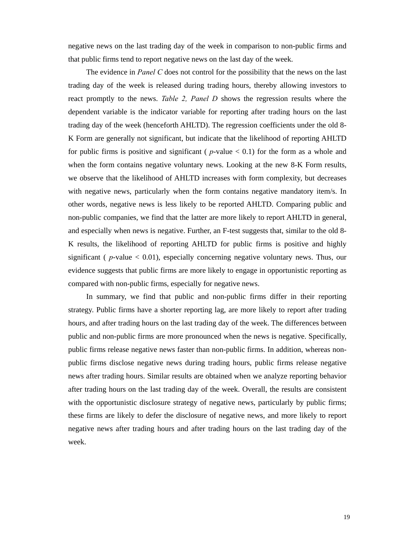negative news on the last trading day of the week in comparison to non-public firms and that public firms tend to report negative news on the last day of the week.

The evidence in *Panel C* does not control for the possibility that the news on the last trading day of the week is released during trading hours, thereby allowing investors to react promptly to the news. *Table 2, Panel D* shows the regression results where the dependent variable is the indicator variable for reporting after trading hours on the last trading day of the week (henceforth AHLTD). The regression coefficients under the old 8- K Form are generally not significant, but indicate that the likelihood of reporting AHLTD for public firms is positive and significant ( $p$ -value  $< 0.1$ ) for the form as a whole and when the form contains negative voluntary news. Looking at the new 8-K Form results, we observe that the likelihood of AHLTD increases with form complexity, but decreases with negative news, particularly when the form contains negative mandatory item/s. In other words, negative news is less likely to be reported AHLTD. Comparing public and non-public companies, we find that the latter are more likely to report AHLTD in general, and especially when news is negative. Further, an F-test suggests that, similar to the old 8- K results, the likelihood of reporting AHLTD for public firms is positive and highly significant ( $p$ -value  $< 0.01$ ), especially concerning negative voluntary news. Thus, our evidence suggests that public firms are more likely to engage in opportunistic reporting as compared with non-public firms, especially for negative news.

In summary, we find that public and non-public firms differ in their reporting strategy. Public firms have a shorter reporting lag, are more likely to report after trading hours, and after trading hours on the last trading day of the week. The differences between public and non-public firms are more pronounced when the news is negative. Specifically, public firms release negative news faster than non-public firms. In addition, whereas nonpublic firms disclose negative news during trading hours, public firms release negative news after trading hours. Similar results are obtained when we analyze reporting behavior after trading hours on the last trading day of the week. Overall, the results are consistent with the opportunistic disclosure strategy of negative news, particularly by public firms; these firms are likely to defer the disclosure of negative news, and more likely to report negative news after trading hours and after trading hours on the last trading day of the week.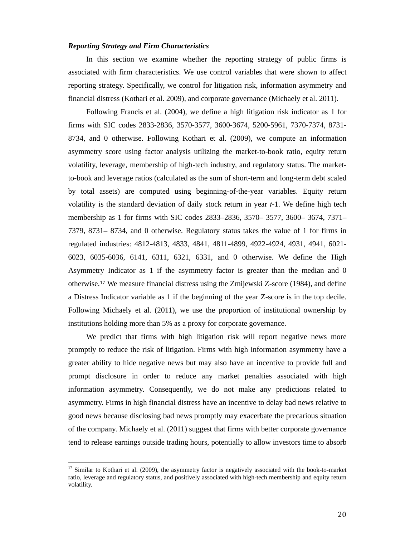#### *Reporting Strategy and Firm Characteristics*

In this section we examine whether the reporting strategy of public firms is associated with firm characteristics. We use control variables that were shown to affect reporting strategy. Specifically, we control for litigation risk, information asymmetry and financial distress (Kothari et al. 2009), and corporate governance (Michaely et al. 2011).

Following Francis et al. (2004), we define a high litigation risk indicator as 1 for firms with SIC codes 2833-2836, 3570-3577, 3600-3674, 5200-5961, 7370-7374, 8731- 8734, and 0 otherwise. Following Kothari et al. (2009), we compute an information asymmetry score using factor analysis utilizing the market-to-book ratio, equity return volatility, leverage, membership of high-tech industry, and regulatory status. The marketto-book and leverage ratios (calculated as the sum of short-term and long-term debt scaled by total assets) are computed using beginning-of-the-year variables. Equity return volatility is the standard deviation of daily stock return in year *t*-1. We define high tech membership as 1 for firms with SIC codes 2833–2836, 3570– 3577, 3600– 3674, 7371– 7379, 8731– 8734, and 0 otherwise. Regulatory status takes the value of 1 for firms in regulated industries: 4812-4813, 4833, 4841, 4811-4899, 4922-4924, 4931, 4941, 6021- 6023, 6035-6036, 6141, 6311, 6321, 6331, and 0 otherwise. We define the High Asymmetry Indicator as 1 if the asymmetry factor is greater than the median and 0 otherwise.17 We measure financial distress using the Zmijewski Z-score (1984), and define a Distress Indicator variable as 1 if the beginning of the year Z-score is in the top decile. Following Michaely et al. (2011), we use the proportion of institutional ownership by institutions holding more than 5% as a proxy for corporate governance.

We predict that firms with high litigation risk will report negative news more promptly to reduce the risk of litigation. Firms with high information asymmetry have a greater ability to hide negative news but may also have an incentive to provide full and prompt disclosure in order to reduce any market penalties associated with high information asymmetry. Consequently, we do not make any predictions related to asymmetry. Firms in high financial distress have an incentive to delay bad news relative to good news because disclosing bad news promptly may exacerbate the precarious situation of the company. Michaely et al. (2011) suggest that firms with better corporate governance tend to release earnings outside trading hours, potentially to allow investors time to absorb

l

 $17$  Similar to Kothari et al. (2009), the asymmetry factor is negatively associated with the book-to-market ratio, leverage and regulatory status, and positively associated with high-tech membership and equity return volatility.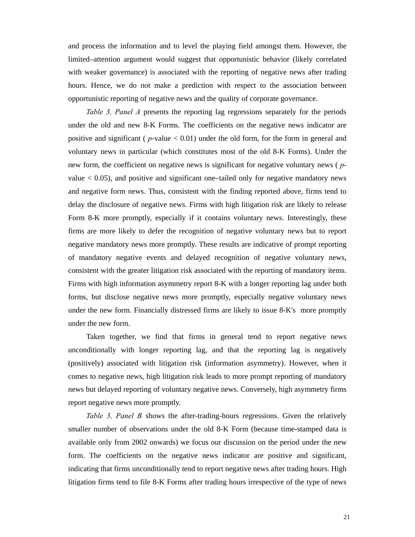and process the information and to level the playing field amongst them. However, the limited–attention argument would suggest that opportunistic behavior (likely correlated with weaker governance) is associated with the reporting of negative news after trading hours. Hence, we do not make a prediction with respect to the association between opportunistic reporting of negative news and the quality of corporate governance.

*Table 3, Panel A* presents the reporting lag regressions separately for the periods under the old and new 8-K Forms. The coefficients on the negative news indicator are positive and significant ( *p*-value < 0.01) under the old form, for the form in general and voluntary news in particular (which constitutes most of the old 8-K Forms). Under the new form, the coefficient on negative news is significant for negative voluntary news ( *p*value < 0.05), and positive and significant one–tailed only for negative mandatory news and negative form news. Thus, consistent with the finding reported above, firms tend to delay the disclosure of negative news. Firms with high litigation risk are likely to release Form 8-K more promptly, especially if it contains voluntary news. Interestingly, these firms are more likely to defer the recognition of negative voluntary news but to report negative mandatory news more promptly. These results are indicative of prompt reporting of mandatory negative events and delayed recognition of negative voluntary news, consistent with the greater litigation risk associated with the reporting of mandatory items. Firms with high information asymmetry report 8-K with a longer reporting lag under both forms, but disclose negative news more promptly, especially negative voluntary news under the new form. Financially distressed firms are likely to issue 8-K's more promptly under the new form.

Taken together, we find that firms in general tend to report negative news unconditionally with longer reporting lag, and that the reporting lag is negatively (positively) associated with litigation risk (information asymmetry). However, when it comes to negative news, high litigation risk leads to more prompt reporting of mandatory news but delayed reporting of voluntary negative news. Conversely, high asymmetry firms report negative news more promptly.

*Table 3, Panel B* shows the after-trading-hours regressions. Given the relatively smaller number of observations under the old 8-K Form (because time-stamped data is available only from 2002 onwards) we focus our discussion on the period under the new form. The coefficients on the negative news indicator are positive and significant, indicating that firms unconditionally tend to report negative news after trading hours. High litigation firms tend to file 8-K Forms after trading hours irrespective of the type of news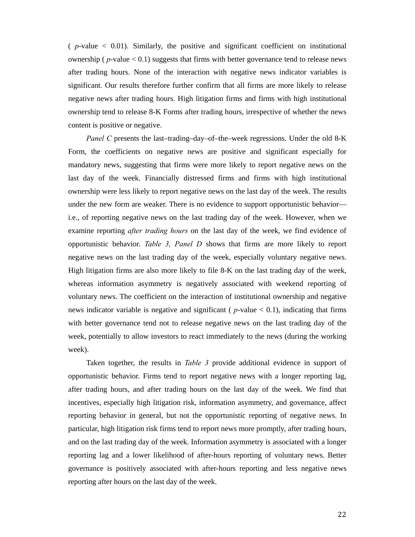$(p$ -value  $< 0.01$ ). Similarly, the positive and significant coefficient on institutional ownership ( $p$ -value  $< 0.1$ ) suggests that firms with better governance tend to release news after trading hours. None of the interaction with negative news indicator variables is significant. Our results therefore further confirm that all firms are more likely to release negative news after trading hours. High litigation firms and firms with high institutional ownership tend to release 8-K Forms after trading hours, irrespective of whether the news content is positive or negative.

*Panel C* presents the last–trading–day–of–the–week regressions. Under the old 8-K Form, the coefficients on negative news are positive and significant especially for mandatory news, suggesting that firms were more likely to report negative news on the last day of the week. Financially distressed firms and firms with high institutional ownership were less likely to report negative news on the last day of the week. The results under the new form are weaker. There is no evidence to support opportunistic behavior i.e., of reporting negative news on the last trading day of the week. However, when we examine reporting *after trading hours* on the last day of the week, we find evidence of opportunistic behavior. *Table 3, Panel D* shows that firms are more likely to report negative news on the last trading day of the week, especially voluntary negative news. High litigation firms are also more likely to file 8-K on the last trading day of the week, whereas information asymmetry is negatively associated with weekend reporting of voluntary news. The coefficient on the interaction of institutional ownership and negative news indicator variable is negative and significant ( $p$ -value  $< 0.1$ ), indicating that firms with better governance tend not to release negative news on the last trading day of the week, potentially to allow investors to react immediately to the news (during the working week).

Taken together, the results in *Table 3* provide additional evidence in support of opportunistic behavior. Firms tend to report negative news with a longer reporting lag, after trading hours, and after trading hours on the last day of the week. We find that incentives, especially high litigation risk, information asymmetry, and governance, affect reporting behavior in general, but not the opportunistic reporting of negative news. In particular, high litigation risk firms tend to report news more promptly, after trading hours, and on the last trading day of the week. Information asymmetry is associated with a longer reporting lag and a lower likelihood of after-hours reporting of voluntary news. Better governance is positively associated with after-hours reporting and less negative news reporting after hours on the last day of the week.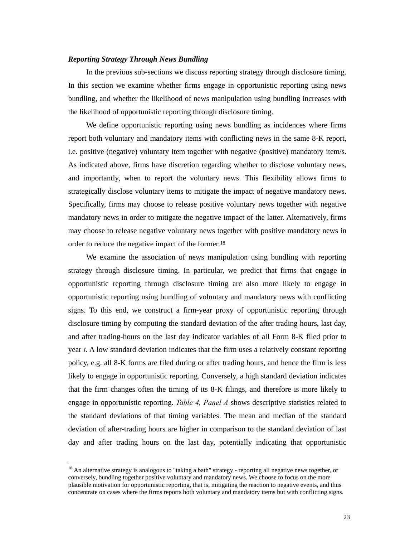#### *Reporting Strategy Through News Bundling*

In the previous sub-sections we discuss reporting strategy through disclosure timing. In this section we examine whether firms engage in opportunistic reporting using news bundling, and whether the likelihood of news manipulation using bundling increases with the likelihood of opportunistic reporting through disclosure timing.

We define opportunistic reporting using news bundling as incidences where firms report both voluntary and mandatory items with conflicting news in the same 8-K report, i.e. positive (negative) voluntary item together with negative (positive) mandatory item/s. As indicated above, firms have discretion regarding whether to disclose voluntary news, and importantly, when to report the voluntary news. This flexibility allows firms to strategically disclose voluntary items to mitigate the impact of negative mandatory news. Specifically, firms may choose to release positive voluntary news together with negative mandatory news in order to mitigate the negative impact of the latter. Alternatively, firms may choose to release negative voluntary news together with positive mandatory news in order to reduce the negative impact of the former.<sup>18</sup>

We examine the association of news manipulation using bundling with reporting strategy through disclosure timing. In particular, we predict that firms that engage in opportunistic reporting through disclosure timing are also more likely to engage in opportunistic reporting using bundling of voluntary and mandatory news with conflicting signs. To this end, we construct a firm-year proxy of opportunistic reporting through disclosure timing by computing the standard deviation of the after trading hours, last day, and after trading-hours on the last day indicator variables of all Form 8-K filed prior to year *t*. A low standard deviation indicates that the firm uses a relatively constant reporting policy, e.g. all 8-K forms are filed during or after trading hours, and hence the firm is less likely to engage in opportunistic reporting. Conversely, a high standard deviation indicates that the firm changes often the timing of its 8-K filings, and therefore is more likely to engage in opportunistic reporting. *Table 4, Panel A* shows descriptive statistics related to the standard deviations of that timing variables. The mean and median of the standard deviation of after-trading hours are higher in comparison to the standard deviation of last day and after trading hours on the last day, potentially indicating that opportunistic

l

<sup>&</sup>lt;sup>18</sup> An alternative strategy is analogous to "taking a bath" strategy - reporting all negative news together, or conversely, bundling together positive voluntary and mandatory news. We choose to focus on the more plausible motivation for opportunistic reporting, that is, mitigating the reaction to negative events, and thus concentrate on cases where the firms reports both voluntary and mandatory items but with conflicting signs.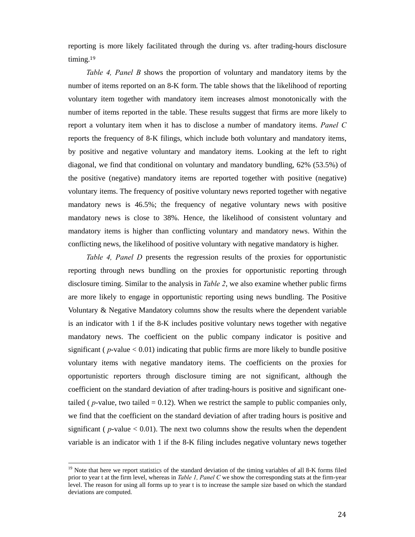reporting is more likely facilitated through the during vs. after trading-hours disclosure timing.<sup>19</sup>

*Table 4, Panel B* shows the proportion of voluntary and mandatory items by the number of items reported on an 8-K form. The table shows that the likelihood of reporting voluntary item together with mandatory item increases almost monotonically with the number of items reported in the table. These results suggest that firms are more likely to report a voluntary item when it has to disclose a number of mandatory items. *Panel C* reports the frequency of 8-K filings, which include both voluntary and mandatory items, by positive and negative voluntary and mandatory items. Looking at the left to right diagonal, we find that conditional on voluntary and mandatory bundling, 62% (53.5%) of the positive (negative) mandatory items are reported together with positive (negative) voluntary items. The frequency of positive voluntary news reported together with negative mandatory news is 46.5%; the frequency of negative voluntary news with positive mandatory news is close to 38%. Hence, the likelihood of consistent voluntary and mandatory items is higher than conflicting voluntary and mandatory news. Within the conflicting news, the likelihood of positive voluntary with negative mandatory is higher.

*Table 4, Panel D* presents the regression results of the proxies for opportunistic reporting through news bundling on the proxies for opportunistic reporting through disclosure timing. Similar to the analysis in *Table 2*, we also examine whether public firms are more likely to engage in opportunistic reporting using news bundling. The Positive Voluntary & Negative Mandatory columns show the results where the dependent variable is an indicator with 1 if the 8-K includes positive voluntary news together with negative mandatory news. The coefficient on the public company indicator is positive and significant ( $p$ -value  $< 0.01$ ) indicating that public firms are more likely to bundle positive voluntary items with negative mandatory items. The coefficients on the proxies for opportunistic reporters through disclosure timing are not significant, although the coefficient on the standard deviation of after trading-hours is positive and significant onetailed ( $p$ -value, two tailed  $= 0.12$ ). When we restrict the sample to public companies only, we find that the coefficient on the standard deviation of after trading hours is positive and significant ( $p$ -value  $< 0.01$ ). The next two columns show the results when the dependent variable is an indicator with 1 if the 8-K filing includes negative voluntary news together

l

<sup>&</sup>lt;sup>19</sup> Note that here we report statistics of the standard deviation of the timing variables of all 8-K forms filed prior to year t at the firm level, whereas in *Table 1, Panel C* we show the corresponding stats at the firm-year level. The reason for using all forms up to year t is to increase the sample size based on which the standard deviations are computed.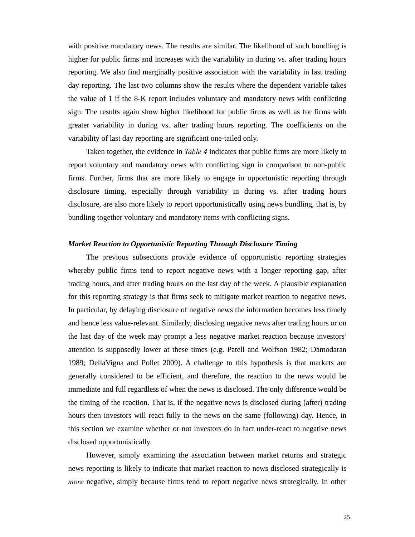with positive mandatory news. The results are similar. The likelihood of such bundling is higher for public firms and increases with the variability in during vs. after trading hours reporting. We also find marginally positive association with the variability in last trading day reporting. The last two columns show the results where the dependent variable takes the value of 1 if the 8-K report includes voluntary and mandatory news with conflicting sign. The results again show higher likelihood for public firms as well as for firms with greater variability in during vs. after trading hours reporting. The coefficients on the variability of last day reporting are significant one-tailed only.

Taken together, the evidence in *Table 4* indicates that public firms are more likely to report voluntary and mandatory news with conflicting sign in comparison to non-public firms. Further, firms that are more likely to engage in opportunistic reporting through disclosure timing, especially through variability in during vs. after trading hours disclosure, are also more likely to report opportunistically using news bundling, that is, by bundling together voluntary and mandatory items with conflicting signs.

#### *Market Reaction to Opportunistic Reporting Through Disclosure Timing*

The previous subsections provide evidence of opportunistic reporting strategies whereby public firms tend to report negative news with a longer reporting gap, after trading hours, and after trading hours on the last day of the week. A plausible explanation for this reporting strategy is that firms seek to mitigate market reaction to negative news. In particular, by delaying disclosure of negative news the information becomes less timely and hence less value-relevant. Similarly, disclosing negative news after trading hours or on the last day of the week may prompt a less negative market reaction because investors' attention is supposedly lower at these times (e.g. Patell and Wolfson 1982; Damodaran 1989; DellaVigna and Pollet 2009). A challenge to this hypothesis is that markets are generally considered to be efficient, and therefore, the reaction to the news would be immediate and full regardless of when the news is disclosed. The only difference would be the timing of the reaction. That is, if the negative news is disclosed during (after) trading hours then investors will react fully to the news on the same (following) day. Hence, in this section we examine whether or not investors do in fact under-react to negative news disclosed opportunistically.

However, simply examining the association between market returns and strategic news reporting is likely to indicate that market reaction to news disclosed strategically is *more* negative, simply because firms tend to report negative news strategically. In other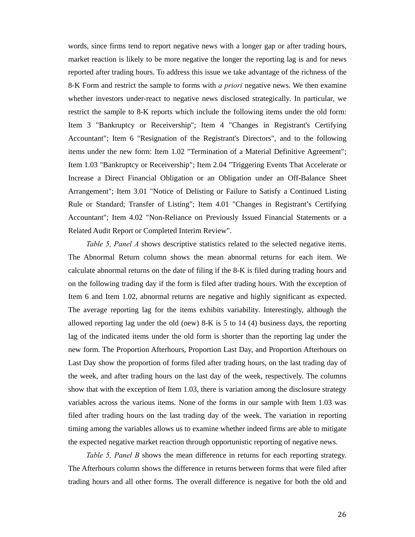words, since firms tend to report negative news with a longer gap or after trading hours, market reaction is likely to be more negative the longer the reporting lag is and for news reported after trading hours. To address this issue we take advantage of the richness of the 8-K Form and restrict the sample to forms with *a priori* negative news. We then examine whether investors under-react to negative news disclosed strategically. In particular, we restrict the sample to 8-K reports which include the following items under the old form: Item 3 "Bankruptcy or Receivership"; Item 4 "Changes in Registrant's Certifying Accountant"; Item 6 "Resignation of the Registrant's Directors", and to the following items under the new form: Item 1.02 "Termination of a Material Definitive Agreement"; Item 1.03 "Bankruptcy or Receivership"; Item 2.04 "Triggering Events That Accelerate or Increase a Direct Financial Obligation or an Obligation under an Off-Balance Sheet Arrangement"; Item 3.01 "Notice of Delisting or Failure to Satisfy a Continued Listing Rule or Standard; Transfer of Listing"; Item 4.01 "Changes in Registrant's Certifying Accountant"; Item 4.02 "Non-Reliance on Previously Issued Financial Statements or a Related Audit Report or Completed Interim Review".

*Table 5, Panel A* shows descriptive statistics related to the selected negative items. The Abnormal Return column shows the mean abnormal returns for each item. We calculate abnormal returns on the date of filing if the 8-K is filed during trading hours and on the following trading day if the form is filed after trading hours. With the exception of Item 6 and Item 1.02, abnormal returns are negative and highly significant as expected. The average reporting lag for the items exhibits variability. Interestingly, although the allowed reporting lag under the old (new) 8-K is 5 to 14 (4) business days, the reporting lag of the indicated items under the old form is shorter than the reporting lag under the new form. The Proportion Afterhours, Proportion Last Day, and Proportion Afterhours on Last Day show the proportion of forms filed after trading hours, on the last trading day of the week, and after trading hours on the last day of the week, respectively. The columns show that with the exception of Item 1.03, there is variation among the disclosure strategy variables across the various items. None of the forms in our sample with Item 1.03 was filed after trading hours on the last trading day of the week. The variation in reporting timing among the variables allows us to examine whether indeed firms are able to mitigate the expected negative market reaction through opportunistic reporting of negative news.

*Table 5, Panel B* shows the mean difference in returns for each reporting strategy. The Afterhours column shows the difference in returns between forms that were filed after trading hours and all other forms. The overall difference is negative for both the old and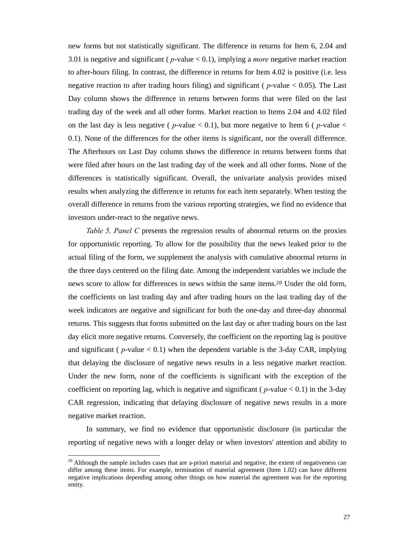new forms but not statistically significant. The difference in returns for Item 6, 2.04 and 3.01 is negative and significant ( *p*-value < 0.1), implying a *more* negative market reaction to after-hours filing. In contrast, the difference in returns for Item 4.02 is positive (i.e. less negative reaction to after trading hours filing) and significant ( *p*-value < 0.05). The Last Day column shows the difference in returns between forms that were filed on the last trading day of the week and all other forms. Market reaction to Items 2.04 and 4.02 filed on the last day is less negative ( $p$ -value  $<$  0.1), but more negative to Item 6 ( $p$ -value  $<$ 0.1). None of the differences for the other items is significant, nor the overall difference. The Afterhours on Last Day column shows the difference in returns between forms that were filed after hours on the last trading day of the week and all other forms. None of the differences is statistically significant. Overall, the univariate analysis provides mixed results when analyzing the difference in returns for each item separately. When testing the overall difference in returns from the various reporting strategies, we find no evidence that investors under-react to the negative news.

*Table 5, Panel C* presents the regression results of abnormal returns on the proxies for opportunistic reporting. To allow for the possibility that the news leaked prior to the actual filing of the form, we supplement the analysis with cumulative abnormal returns in the three days centered on the filing date. Among the independent variables we include the news score to allow for differences in news within the same items.20 Under the old form, the coefficients on last trading day and after trading hours on the last trading day of the week indicators are negative and significant for both the one-day and three-day abnormal returns. This suggests that forms submitted on the last day or after trading hours on the last day elicit more negative returns. Conversely, the coefficient on the reporting lag is positive and significant ( $p$ -value  $< 0.1$ ) when the dependent variable is the 3-day CAR, implying that delaying the disclosure of negative news results in a less negative market reaction. Under the new form, none of the coefficients is significant with the exception of the coefficient on reporting lag, which is negative and significant ( $p$ -value  $< 0.1$ ) in the 3-day CAR regression, indicating that delaying disclosure of negative news results in a more negative market reaction.

In summary, we find no evidence that opportunistic disclosure (in particular the reporting of negative news with a longer delay or when investors' attention and ability to

ı

<sup>&</sup>lt;sup>20</sup> Although the sample includes cases that are a-priori material and negative, the extent of negativeness can differ among these items. For example, termination of material agreement (Item 1.02) can have different negative implications depending among other things on how material the agreement was for the reporting entity.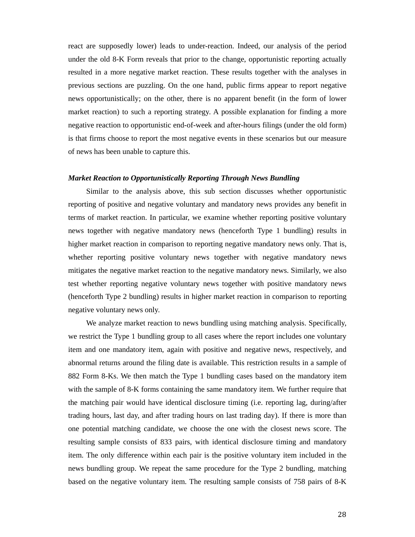react are supposedly lower) leads to under-reaction. Indeed, our analysis of the period under the old 8-K Form reveals that prior to the change, opportunistic reporting actually resulted in a more negative market reaction. These results together with the analyses in previous sections are puzzling. On the one hand, public firms appear to report negative news opportunistically; on the other, there is no apparent benefit (in the form of lower market reaction) to such a reporting strategy. A possible explanation for finding a more negative reaction to opportunistic end-of-week and after-hours filings (under the old form) is that firms choose to report the most negative events in these scenarios but our measure of news has been unable to capture this.

#### *Market Reaction to Opportunistically Reporting Through News Bundling*

Similar to the analysis above, this sub section discusses whether opportunistic reporting of positive and negative voluntary and mandatory news provides any benefit in terms of market reaction. In particular, we examine whether reporting positive voluntary news together with negative mandatory news (henceforth Type 1 bundling) results in higher market reaction in comparison to reporting negative mandatory news only. That is, whether reporting positive voluntary news together with negative mandatory news mitigates the negative market reaction to the negative mandatory news. Similarly, we also test whether reporting negative voluntary news together with positive mandatory news (henceforth Type 2 bundling) results in higher market reaction in comparison to reporting negative voluntary news only.

We analyze market reaction to news bundling using matching analysis. Specifically, we restrict the Type 1 bundling group to all cases where the report includes one voluntary item and one mandatory item, again with positive and negative news, respectively, and abnormal returns around the filing date is available. This restriction results in a sample of 882 Form 8-Ks. We then match the Type 1 bundling cases based on the mandatory item with the sample of 8-K forms containing the same mandatory item. We further require that the matching pair would have identical disclosure timing (i.e. reporting lag, during/after trading hours, last day, and after trading hours on last trading day). If there is more than one potential matching candidate, we choose the one with the closest news score. The resulting sample consists of 833 pairs, with identical disclosure timing and mandatory item. The only difference within each pair is the positive voluntary item included in the news bundling group. We repeat the same procedure for the Type 2 bundling, matching based on the negative voluntary item. The resulting sample consists of 758 pairs of 8-K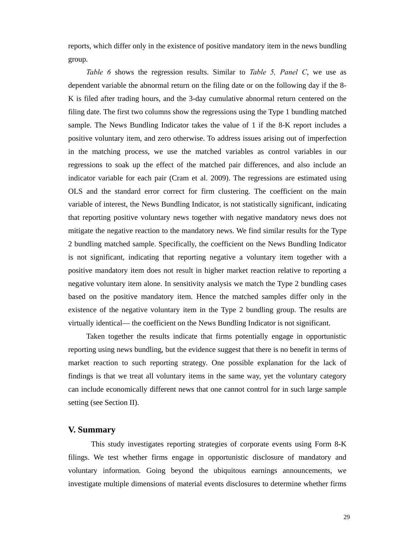reports, which differ only in the existence of positive mandatory item in the news bundling group.

*Table 6* shows the regression results. Similar to *Table 5, Panel C*, we use as dependent variable the abnormal return on the filing date or on the following day if the 8- K is filed after trading hours, and the 3-day cumulative abnormal return centered on the filing date. The first two columns show the regressions using the Type 1 bundling matched sample. The News Bundling Indicator takes the value of 1 if the 8-K report includes a positive voluntary item, and zero otherwise. To address issues arising out of imperfection in the matching process, we use the matched variables as control variables in our regressions to soak up the effect of the matched pair differences, and also include an indicator variable for each pair (Cram et al. 2009). The regressions are estimated using OLS and the standard error correct for firm clustering. The coefficient on the main variable of interest, the News Bundling Indicator, is not statistically significant, indicating that reporting positive voluntary news together with negative mandatory news does not mitigate the negative reaction to the mandatory news. We find similar results for the Type 2 bundling matched sample. Specifically, the coefficient on the News Bundling Indicator is not significant, indicating that reporting negative a voluntary item together with a positive mandatory item does not result in higher market reaction relative to reporting a negative voluntary item alone. In sensitivity analysis we match the Type 2 bundling cases based on the positive mandatory item. Hence the matched samples differ only in the existence of the negative voluntary item in the Type 2 bundling group. The results are virtually identical— the coefficient on the News Bundling Indicator is not significant.

Taken together the results indicate that firms potentially engage in opportunistic reporting using news bundling, but the evidence suggest that there is no benefit in terms of market reaction to such reporting strategy. One possible explanation for the lack of findings is that we treat all voluntary items in the same way, yet the voluntary category can include economically different news that one cannot control for in such large sample setting (see Section II).

### **V. Summary**

This study investigates reporting strategies of corporate events using Form 8-K filings. We test whether firms engage in opportunistic disclosure of mandatory and voluntary information. Going beyond the ubiquitous earnings announcements, we investigate multiple dimensions of material events disclosures to determine whether firms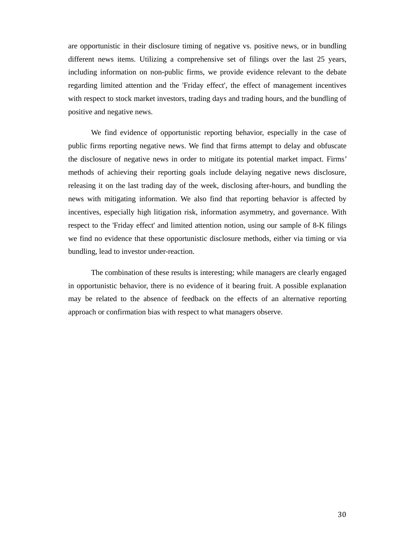are opportunistic in their disclosure timing of negative vs. positive news, or in bundling different news items. Utilizing a comprehensive set of filings over the last 25 years, including information on non-public firms, we provide evidence relevant to the debate regarding limited attention and the 'Friday effect', the effect of management incentives with respect to stock market investors, trading days and trading hours, and the bundling of positive and negative news.

We find evidence of opportunistic reporting behavior, especially in the case of public firms reporting negative news. We find that firms attempt to delay and obfuscate the disclosure of negative news in order to mitigate its potential market impact. Firms' methods of achieving their reporting goals include delaying negative news disclosure, releasing it on the last trading day of the week, disclosing after-hours, and bundling the news with mitigating information. We also find that reporting behavior is affected by incentives, especially high litigation risk, information asymmetry, and governance. With respect to the 'Friday effect' and limited attention notion, using our sample of 8-K filings we find no evidence that these opportunistic disclosure methods, either via timing or via bundling, lead to investor under-reaction.

The combination of these results is interesting; while managers are clearly engaged in opportunistic behavior, there is no evidence of it bearing fruit. A possible explanation may be related to the absence of feedback on the effects of an alternative reporting approach or confirmation bias with respect to what managers observe.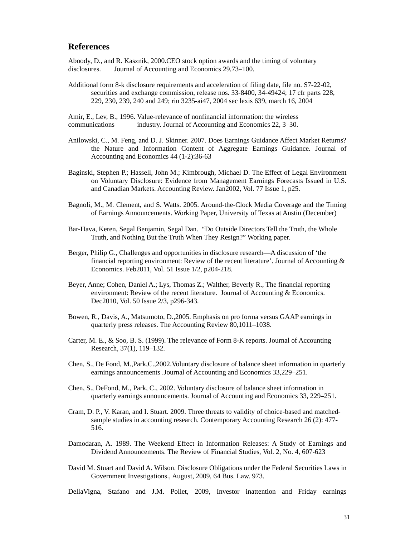### **References**

Aboody, D., and R. Kasznik, 2000.CEO stock option awards and the timing of voluntary disclosures. Journal of Accounting and Economics 29,73–100.

Additional form 8-k disclosure requirements and acceleration of filing date, file no. S7-22-02, securities and exchange commission, release nos. 33-8400, 34-49424; 17 cfr parts 228, 229, 230, 239, 240 and 249; rin 3235-ai47, 2004 sec lexis 639, march 16, 2004

Amir, E., Lev, B., 1996. Value-relevance of nonfinancial information: the wireless communications industry. Journal of Accounting and Economics 22, 3–30.

- Anilowski, C., M. Feng, and D. J. Skinner. 2007. Does Earnings Guidance Affect Market Returns? the Nature and Information Content of Aggregate Earnings Guidance. Journal of Accounting and Economics 44 (1-2):36-63
- Baginski, Stephen P.; Hassell, John M.; Kimbrough, Michael D. The Effect of Legal Environment on Voluntary Disclosure: Evidence from Management Earnings Forecasts Issued in U.S. and Canadian Markets. Accounting Review. Jan2002, Vol. 77 Issue 1, p25.
- Bagnoli, M., M. Clement, and S. Watts. 2005. Around-the-Clock Media Coverage and the Timing of Earnings Announcements. Working Paper, University of Texas at Austin (December)
- Bar-Hava, Keren, Segal Benjamin, Segal Dan. "Do Outside Directors Tell the Truth, the Whole Truth, and Nothing But the Truth When They Resign?" Working paper.
- Berger, Philip G., Challenges and opportunities in disclosure research—A discussion of 'the financial reporting environment: Review of the recent literature'. Journal of Accounting  $\&$ Economics. Feb2011, Vol. 51 Issue 1/2, p204-218.
- Beyer, Anne; Cohen, Daniel A.; Lys, Thomas Z.; Walther, Beverly R., The financial reporting environment: Review of the recent literature. Journal of Accounting & Economics. Dec2010, Vol. 50 Issue 2/3, p296-343.
- Bowen, R., Davis, A., Matsumoto, D.,2005. Emphasis on pro forma versus GAAP earnings in quarterly press releases. The Accounting Review 80,1011–1038.
- Carter, M. E., & Soo, B. S. (1999). The relevance of Form 8-K reports. Journal of Accounting Research, 37(1), 119–132.
- Chen, S., De Fond, M.,Park,C.,2002.Voluntary disclosure of balance sheet information in quarterly earnings announcements .Journal of Accounting and Economics 33,229–251.
- Chen, S., DeFond, M., Park, C., 2002. Voluntary disclosure of balance sheet information in quarterly earnings announcements. Journal of Accounting and Economics 33, 229–251.
- Cram, D. P., V. Karan, and I. Stuart. 2009. Three threats to validity of choice-based and matched sample studies in accounting research. Contemporary Accounting Research 26 (2): 477- 516.
- Damodaran, A. 1989. The Weekend Effect in Information Releases: A Study of Earnings and Dividend Announcements. The Review of Financial Studies, Vol. 2, No. 4, 607-623
- David M. Stuart and David A. Wilson. Disclosure Obligations under the Federal Securities Laws in Government Investigations., August, 2009, 64 Bus. Law. 973.
- DellaVigna, Stafano and J.M. Pollet, 2009, Investor inattention and Friday earnings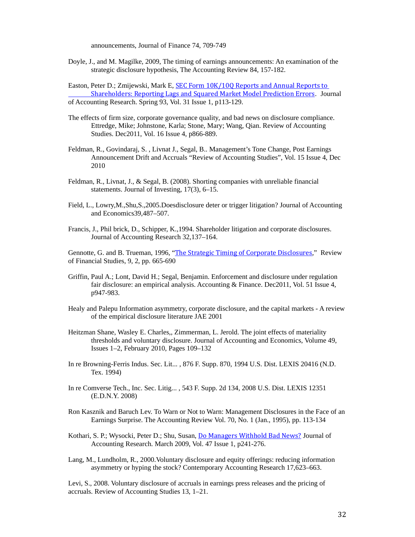announcements, Journal of Finance 74, 709-749

Doyle, J., and M. Magilke, 2009, The timing of earnings announcements: An examination of the strategic disclosure hypothesis, The Accounting Review 84, 157-182.

Easton, Peter D.; Zmijewski, Mark E, SEC Form 10K/10Q Reports and Annual Reports to Shareholders: Reporting Lags and Squared Market Model Prediction Errors. Journal of Accounting Research. Spring 93, Vol. 31 Issue 1, p113-129.

- The effects of firm size, corporate governance quality, and bad news on disclosure compliance. Ettredge, Mike; Johnstone, Karla; Stone, Mary; Wang, Qian. Review of Accounting Studies. Dec2011, Vol. 16 Issue 4, p866-889.
- Feldman, R., Govindaraj, S. , Livnat J., Segal, B.. Management's Tone Change, Post Earnings Announcement Drift and Accruals "Review of Accounting Studies", Vol. 15 Issue 4, Dec 2010
- Feldman, R., Livnat, J., & Segal, B. (2008). Shorting companies with unreliable financial statements. Journal of Investing, 17(3), 6–15.
- Field, L., Lowry,M.,Shu,S.,2005.Doesdisclosure deter or trigger litigation? Journal of Accounting and Economics39,487–507.
- Francis, J., Phil brick, D., Schipper, K.,1994. Shareholder litigation and corporate disclosures. Journal of Accounting Research 32,137–164.

Gennotte, G. and B. Trueman, 1996, "The Strategic Timing of Corporate Disclosures," Review of Financial Studies, 9, 2, pp. 665-690

- Griffin, Paul A.; Lont, David H.; Segal, Benjamin. Enforcement and disclosure under regulation fair disclosure: an empirical analysis. Accounting & Finance. Dec2011, Vol. 51 Issue 4, p947-983.
- Healy and Palepu Information asymmetry, corporate disclosure, and the capital markets A review of the empirical disclosure literature JAE 2001
- Heitzman Shane, Wasley E. Charles,, Zimmerman, L. Jerold. The joint effects of materiality thresholds and voluntary disclosure. Journal of Accounting and Economics, Volume 49, Issues 1–2, February 2010, Pages 109–132
- In re Browning-Ferris Indus. Sec. Lit... , 876 F. Supp. 870, 1994 U.S. Dist. LEXIS 20416 (N.D. Tex. 1994)
- In re Comverse Tech., Inc. Sec. Litig... , 543 F. Supp. 2d 134, 2008 U.S. Dist. LEXIS 12351 (E.D.N.Y. 2008)
- Ron Kasznik and Baruch Lev. To Warn or Not to Warn: Management Disclosures in the Face of an Earnings Surprise. The Accounting Review Vol. 70, No. 1 (Jan., 1995), pp. 113-134
- Kothari, S. P.; Wysocki, Peter D.; Shu, Susan, Do Managers Withhold Bad News? Journal of Accounting Research. March 2009, Vol. 47 Issue 1, p241-276.
- Lang, M., Lundholm, R., 2000. Voluntary disclosure and equity offerings: reducing information asymmetry or hyping the stock? Contemporary Accounting Research 17,623–663.

Levi, S., 2008. Voluntary disclosure of accruals in earnings press releases and the pricing of accruals. Review of Accounting Studies 13, 1–21.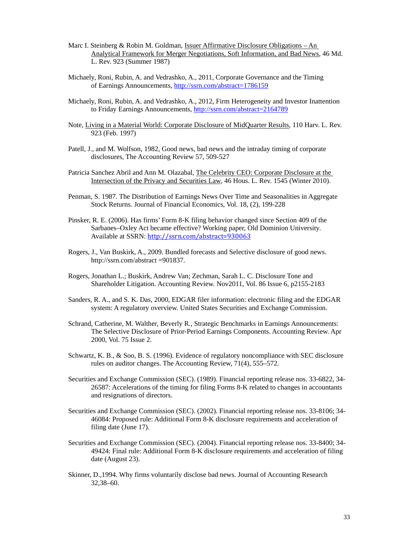- Marc I. Steinberg & Robin M. Goldman, Issuer Affirmative Disclosure Obligations An Analytical Framework for Merger Negotiations, Soft Information, and Bad News, 46 Md. L. Rev. 923 (Summer 1987)
- Michaely, Roni, Rubin, A. and Vedrashko, A., 2011, Corporate Governance and the Timing of Earnings Announcements, http://ssrn.com/abstract=1786159
- Michaely, Roni, Rubin, A. and Vedrashko, A., 2012, Firm Heterogeneity and Investor Inattention to Friday Earnings Announcements, http://ssrn.com/abstract=2164789
- Note, Living in a Material World: Corporate Disclosure of MidQuarter Results, 110 Harv. L. Rev. 923 (Feb. 1997)
- Patell, J., and M. Wolfson, 1982, Good news, bad news and the intraday timing of corporate disclosures, The Accounting Review 57, 509-527
- Patricia Sanchez Abril and Ann M. Olazabal, The Celebrity CEO: Corporate Disclosure at the Intersection of the Privacy and Securities Law, 46 Hous. L. Rev. 1545 (Winter 2010).
- Penman, S. 1987. The Distribution of Earnings News Over Time and Seasonalities in Aggregate Stock Returns. Journal of Financial Economics, Vol. 18, (2), 199-228
- Pinsker, R. E. (2006). Has firms' Form 8-K filing behavior changed since Section 409 of the Sarbanes–Oxley Act became effective? Working paper, Old Dominion University. Available at SSRN: http://ssrn.com/abstract=930063
- Rogers, J., Van Buskirk, A., 2009. Bundled forecasts and Selective disclosure of good news. http://ssrn.com/abstract =901837.
- Rogers, Jonathan L.; Buskirk, Andrew Van; Zechman, Sarah L. C. Disclosure Tone and Shareholder Litigation. Accounting Review. Nov2011, Vol. 86 Issue 6, p2155-2183
- Sanders, R. A., and S. K. Das, 2000, EDGAR filer information: electronic filing and the EDGAR system: A regulatory overview. United States Securities and Exchange Commission.
- Schrand, Catherine, M. Walther, Beverly R., Strategic Benchmarks in Earnings Announcements: The Selective Disclosure of Prior-Period Earnings Components. Accounting Review. Apr 2000, Vol. 75 Issue 2.
- Schwartz, K. B., & Soo, B. S. (1996). Evidence of regulatory noncompliance with SEC disclosure rules on auditor changes. The Accounting Review, 71(4), 555–572.
- Securities and Exchange Commission (SEC). (1989). Financial reporting release nos. 33-6822, 34- 26587: Accelerations of the timing for filing Forms 8-K related to changes in accountants and resignations of directors.
- Securities and Exchange Commission (SEC). (2002). Financial reporting release nos. 33-8106; 34- 46084: Proposed rule: Additional Form 8-K disclosure requirements and acceleration of filing date (June 17).
- Securities and Exchange Commission (SEC). (2004). Financial reporting release nos. 33-8400; 34- 49424: Final rule: Additional Form 8-K disclosure requirements and acceleration of filing date (August 23).
- Skinner, D.,1994. Why firms voluntarily disclose bad news. Journal of Accounting Research 32,38–60.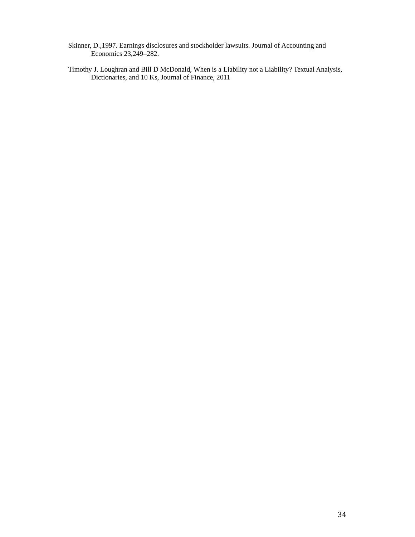- Skinner, D.,1997. Earnings disclosures and stockholder lawsuits. Journal of Accounting and Economics 23,249–282.
- Timothy J. Loughran and Bill D McDonald, When is a Liability not a Liability? Textual Analysis, Dictionaries, and 10 Ks, Journal of Finance, 2011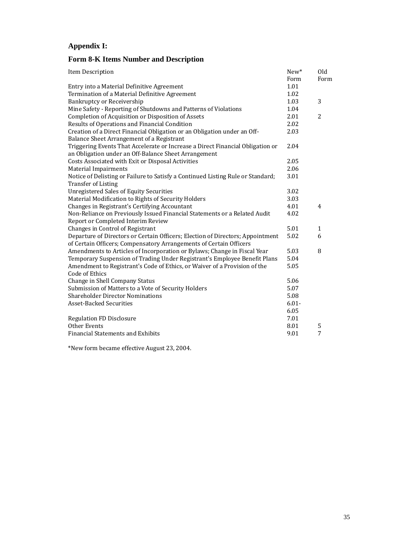# **Appendix I:**

## **Form 8-K Items Number and Description**

| Item Description                                                                | New*     | Old          |
|---------------------------------------------------------------------------------|----------|--------------|
|                                                                                 | Form     | Form         |
| Entry into a Material Definitive Agreement                                      | 1.01     |              |
| Termination of a Material Definitive Agreement                                  | 1.02     |              |
| Bankruptcy or Receivership                                                      | 1.03     | 3            |
| Mine Safety - Reporting of Shutdowns and Patterns of Violations                 | 1.04     |              |
| Completion of Acquisition or Disposition of Assets                              | 2.01     | 2            |
| Results of Operations and Financial Condition                                   | 2.02     |              |
| Creation of a Direct Financial Obligation or an Obligation under an Off-        | 2.03     |              |
| Balance Sheet Arrangement of a Registrant                                       |          |              |
| Triggering Events That Accelerate or Increase a Direct Financial Obligation or  | 2.04     |              |
| an Obligation under an Off-Balance Sheet Arrangement                            |          |              |
| Costs Associated with Exit or Disposal Activities                               | 2.05     |              |
| <b>Material Impairments</b>                                                     | 2.06     |              |
| Notice of Delisting or Failure to Satisfy a Continued Listing Rule or Standard; | 3.01     |              |
| <b>Transfer of Listing</b>                                                      |          |              |
| <b>Unregistered Sales of Equity Securities</b>                                  | 3.02     |              |
| Material Modification to Rights of Security Holders                             | 3.03     |              |
| Changes in Registrant's Certifying Accountant                                   | 4.01     | 4            |
| Non-Reliance on Previously Issued Financial Statements or a Related Audit       | 4.02     |              |
| Report or Completed Interim Review                                              |          |              |
| Changes in Control of Registrant                                                | 5.01     | $\mathbf{1}$ |
| Departure of Directors or Certain Officers; Election of Directors; Appointment  | 5.02     | 6            |
| of Certain Officers; Compensatory Arrangements of Certain Officers              |          |              |
| Amendments to Articles of Incorporation or Bylaws; Change in Fiscal Year        | 5.03     | 8            |
| Temporary Suspension of Trading Under Registrant's Employee Benefit Plans       | 5.04     |              |
| Amendment to Registrant's Code of Ethics, or Waiver of a Provision of the       | 5.05     |              |
| Code of Ethics                                                                  |          |              |
| Change in Shell Company Status                                                  | 5.06     |              |
| Submission of Matters to a Vote of Security Holders                             | 5.07     |              |
| <b>Shareholder Director Nominations</b>                                         | 5.08     |              |
| <b>Asset-Backed Securities</b>                                                  | $6.01 -$ |              |
|                                                                                 | 6.05     |              |
| <b>Regulation FD Disclosure</b>                                                 | 7.01     |              |
| Other Events                                                                    | 8.01     | 5            |
| <b>Financial Statements and Exhibits</b>                                        | 9.01     | 7            |

\*New form became effective August 23, 2004.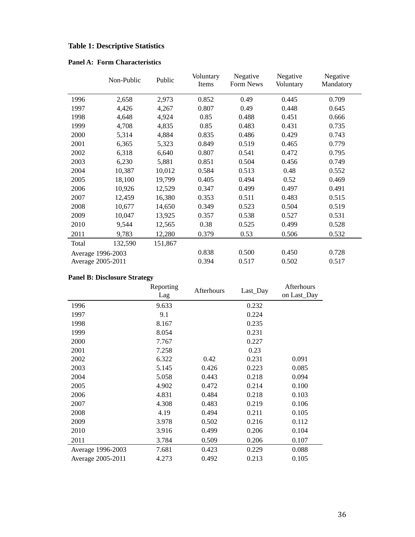# **Table 1: Descriptive Statistics**

|  |  |  | <b>Panel A: Form Characteristics</b> |  |
|--|--|--|--------------------------------------|--|
|--|--|--|--------------------------------------|--|

|                   | Non-Public | Public  | Voluntary<br>Items | Negative<br>Form News | Negative<br>Voluntary | Negative<br>Mandatory |
|-------------------|------------|---------|--------------------|-----------------------|-----------------------|-----------------------|
| 1996              | 2,658      | 2,973   | 0.852              | 0.49                  | 0.445                 | 0.709                 |
| 1997              | 4,426      | 4,267   | 0.807              | 0.49                  | 0.448                 | 0.645                 |
| 1998              | 4,648      | 4,924   | 0.85               | 0.488                 | 0.451                 | 0.666                 |
| 1999              | 4,708      | 4,835   | 0.85               | 0.483                 | 0.431                 | 0.735                 |
| 2000              | 5,314      | 4,884   | 0.835              | 0.486                 | 0.429                 | 0.743                 |
| 2001              | 6,365      | 5,323   | 0.849              | 0.519                 | 0.465                 | 0.779                 |
| 2002              | 6,318      | 6,640   | 0.807              | 0.541                 | 0.472                 | 0.795                 |
| 2003              | 6,230      | 5,881   | 0.851              | 0.504                 | 0.456                 | 0.749                 |
| 2004              | 10,387     | 10,012  | 0.584              | 0.513                 | 0.48                  | 0.552                 |
| 2005              | 18,100     | 19,799  | 0.405              | 0.494                 | 0.52                  | 0.469                 |
| 2006              | 10,926     | 12,529  | 0.347              | 0.499                 | 0.497                 | 0.491                 |
| 2007              | 12,459     | 16,380  | 0.353              | 0.511                 | 0.483                 | 0.515                 |
| 2008              | 10,677     | 14,650  | 0.349              | 0.523                 | 0.504                 | 0.519                 |
| 2009              | 10,047     | 13,925  | 0.357              | 0.538                 | 0.527                 | 0.531                 |
| 2010              | 9,544      | 12,565  | 0.38               | 0.525                 | 0.499                 | 0.528                 |
| 2011              | 9,783      | 12,280  | 0.379              | 0.53                  | 0.506                 | 0.532                 |
| Total             | 132,590    | 151,867 |                    |                       |                       |                       |
| Average 1996-2003 |            |         | 0.838              | 0.500                 | 0.450                 | 0.728                 |
| Average 2005-2011 |            |         | 0.394              | 0.517                 | 0.502                 | 0.517                 |

# **Panel B: Disclosure Strategy**

|                   | Reporting | Afterhours | Last_Day | Afterhours  |
|-------------------|-----------|------------|----------|-------------|
|                   | Lag       |            |          | on Last_Day |
| 1996              | 9.633     |            | 0.232    |             |
| 1997              | 9.1       |            | 0.224    |             |
| 1998              | 8.167     |            | 0.235    |             |
| 1999              | 8.054     |            | 0.231    |             |
| 2000              | 7.767     |            | 0.227    |             |
| 2001              | 7.258     |            | 0.23     |             |
| 2002              | 6.322     | 0.42       | 0.231    | 0.091       |
| 2003              | 5.145     | 0.426      | 0.223    | 0.085       |
| 2004              | 5.058     | 0.443      | 0.218    | 0.094       |
| 2005              | 4.902     | 0.472      | 0.214    | 0.100       |
| 2006              | 4.831     | 0.484      | 0.218    | 0.103       |
| 2007              | 4.308     | 0.483      | 0.219    | 0.106       |
| 2008              | 4.19      | 0.494      | 0.211    | 0.105       |
| 2009              | 3.978     | 0.502      | 0.216    | 0.112       |
| 2010              | 3.916     | 0.499      | 0.206    | 0.104       |
| 2011              | 3.784     | 0.509      | 0.206    | 0.107       |
| Average 1996-2003 | 7.681     | 0.423      | 0.229    | 0.088       |
| Average 2005-2011 | 4.273     | 0.492      | 0.213    | 0.105       |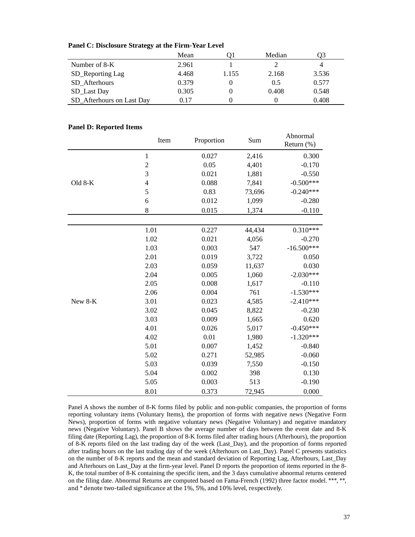| Panel C: Disclosure Strategy at the Firm-Year Level |  |  |
|-----------------------------------------------------|--|--|
|-----------------------------------------------------|--|--|

|                           | Mean  |       | Median |       |
|---------------------------|-------|-------|--------|-------|
| Number of 8-K             | 2.961 |       |        | 4     |
| SD_Reporting Lag          | 4.468 | 1.155 | 2.168  | 3.536 |
| SD Afterhours             | 0.379 |       | 0.5    | 0.577 |
| SD_Last Day               | 0.305 |       | 0.408  | 0.548 |
| SD Afterhours on Last Day | 0.17  |       |        | 0.408 |

### **Panel D: Reported Items**

|         | Item           | Proportion | Sum    | Abnormal<br>Return (%) |
|---------|----------------|------------|--------|------------------------|
|         | $\mathbf 1$    | 0.027      | 2,416  | 0.300                  |
|         | $\overline{c}$ | 0.05       | 4,401  | $-0.170$               |
|         | 3              | 0.021      | 1,881  | $-0.550$               |
| Old 8-K | $\overline{4}$ | 0.088      | 7,841  | $-0.500***$            |
|         | 5              | 0.83       | 73,696 | $-0.240***$            |
|         | 6              | 0.012      | 1,099  | $-0.280$               |
|         | 8              | 0.015      | 1,374  | $-0.110$               |
|         |                |            |        |                        |
|         | 1.01           | 0.227      | 44,434 | $0.310***$             |
|         | 1.02           | 0.021      | 4,056  | $-0.270$               |
|         | 1.03           | 0.003      | 547    | $-16.500***$           |
|         | 2.01           | 0.019      | 3,722  | 0.050                  |
|         | 2.03           | 0.059      | 11,637 | 0.030                  |
|         | 2.04           | 0.005      | 1,060  | $-2.030***$            |
|         | 2.05           | 0.008      | 1,617  | $-0.110$               |
|         | 2.06           | 0.004      | 761    | $-1.530***$            |
| New 8-K | 3.01           | 0.023      | 4,585  | $-2.410***$            |
|         | 3.02           | 0.045      | 8,822  | $-0.230$               |
|         | 3.03           | 0.009      | 1,665  | 0.620                  |
|         | 4.01           | 0.026      | 5,017  | $-0.450***$            |
|         | 4.02           | 0.01       | 1,980  | $-1.320***$            |
|         | 5.01           | 0.007      | 1,452  | $-0.840$               |
|         | 5.02           | 0.271      | 52,985 | $-0.060$               |
|         | 5.03           | 0.039      | 7,550  | $-0.150$               |
|         | 5.04           | 0.002      | 398    | 0.130                  |
|         | 5.05           | 0.003      | 513    | $-0.190$               |
|         | 8.01           | 0.373      | 72,945 | 0.000                  |

Panel A shows the number of 8-K forms filed by public and non-public companies, the proportion of forms reporting voluntary items (Voluntary Items), the proportion of forms with negative news (Negative Form News), proportion of forms with negative voluntary news (Negative Voluntary) and negative mandatory news (Negative Voluntary). Panel B shows the average number of days between the event date and 8-K filing date (Reporting Lag), the proportion of 8-K forms filed after trading hours (Afterhours), the proportion of 8-K reports filed on the last trading day of the week (Last\_Day), and the proportion of forms reported after trading hours on the last trading day of the week (Afterhours on Last\_Day). Panel C presents statistics on the number of 8-K reports and the mean and standard deviation of Reporting Lag, Afterhours, Last\_Day and Afterhours on Last\_Day at the firm-year level. Panel D reports the proportion of items reported in the 8- K, the total number of 8-K containing the specific item, and the 3 days cumulative abnormal returns centered on the filing date. Abnormal Returns are computed based on Fama-French (1992) three factor model. \*\*\*, \*\*, and \* denote two-tailed significance at the 1%, 5%, and 10% level, respectively.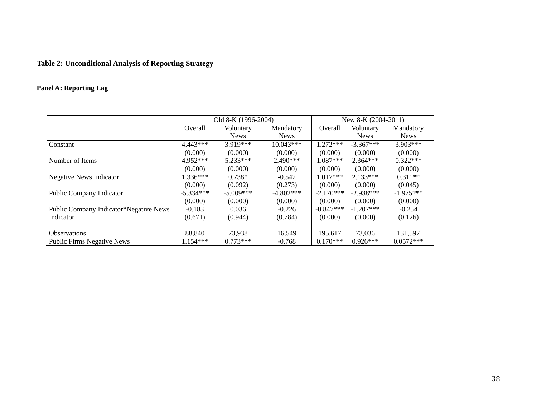# **Table 2: Unconditional Analysis of Reporting Strategy**

# **Panel A: Reporting Lag**

|                                        | Old 8-K (1996-2004) |             |             | New 8-K (2004-2011) |             |             |
|----------------------------------------|---------------------|-------------|-------------|---------------------|-------------|-------------|
|                                        | <b>Overall</b>      | Voluntary   | Mandatory   | Overall             | Voluntary   | Mandatory   |
|                                        |                     | <b>News</b> | <b>News</b> |                     | <b>News</b> | <b>News</b> |
| Constant                               | $4.443***$          | $3.919***$  | $10.043***$ | $1.272***$          | $-3.367***$ | $3.903***$  |
|                                        | (0.000)             | (0.000)     | (0.000)     | (0.000)             | (0.000)     | (0.000)     |
| Number of Items                        | $4.952***$          | $5.233***$  | $2.490***$  | $1.087***$          | $2.364***$  | $0.322***$  |
|                                        | (0.000)             | (0.000)     | (0.000)     | (0.000)             | (0.000)     | (0.000)     |
| <b>Negative News Indicator</b>         | $1.336***$          | $0.738*$    | $-0.542$    | $1.017***$          | $2.133***$  | $0.311**$   |
|                                        | (0.000)             | (0.092)     | (0.273)     | (0.000)             | (0.000)     | (0.045)     |
| Public Company Indicator               | $-5.334***$         | $-5.009***$ | $-4.802***$ | $-2.170***$         | $-2.938***$ | $-1.975***$ |
|                                        | (0.000)             | (0.000)     | (0.000)     | (0.000)             | (0.000)     | (0.000)     |
| Public Company Indicator*Negative News | $-0.183$            | 0.036       | $-0.226$    | $-0.847***$         | $-1.207***$ | $-0.254$    |
| Indicator                              | (0.671)             | (0.944)     | (0.784)     | (0.000)             | (0.000)     | (0.126)     |
|                                        |                     |             |             |                     |             |             |
| <b>Observations</b>                    | 88.840              | 73.938      | 16,549      | 195.617             | 73,036      | 131,597     |
| <b>Public Firms Negative News</b>      | $1.154***$          | $0.773***$  | $-0.768$    | $0.170***$          | $0.926***$  | $0.0572***$ |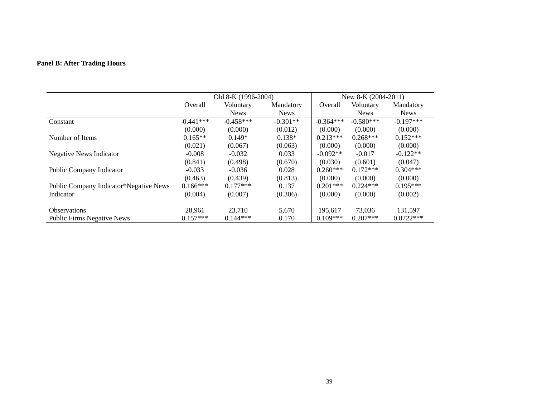# **Panel B: After Trading Hours**

|                                        | Old 8-K (1996-2004) |             |             | New 8-K $(2004-2011)$ |             |             |
|----------------------------------------|---------------------|-------------|-------------|-----------------------|-------------|-------------|
|                                        | Overall             | Voluntary   | Mandatory   | Overall               | Voluntary   | Mandatory   |
|                                        |                     | <b>News</b> | <b>News</b> |                       | <b>News</b> | <b>News</b> |
| Constant                               | $-0.441***$         | $-0.458***$ | $-0.301**$  | $-0.364***$           | $-0.580***$ | $-0.197***$ |
|                                        | (0.000)             | (0.000)     | (0.012)     | (0.000)               | (0.000)     | (0.000)     |
| Number of Items                        | $0.165**$           | $0.149*$    | $0.138*$    | $0.213***$            | $0.268***$  | $0.152***$  |
|                                        | (0.021)             | (0.067)     | (0.063)     | (0.000)               | (0.000)     | (0.000)     |
| <b>Negative News Indicator</b>         | $-0.008$            | $-0.032$    | 0.033       | $-0.092**$            | $-0.017$    | $-0.122**$  |
|                                        | (0.841)             | (0.498)     | (0.670)     | (0.030)               | (0.601)     | (0.047)     |
| Public Company Indicator               | $-0.033$            | $-0.036$    | 0.028       | $0.260***$            | $0.172***$  | $0.304***$  |
|                                        | (0.463)             | (0.439)     | (0.813)     | (0.000)               | (0.000)     | (0.000)     |
| Public Company Indicator*Negative News | $0.166***$          | $0.177***$  | 0.137       | $0.201***$            | $0.224***$  | $0.195***$  |
| Indicator                              | (0.004)             | (0.007)     | (0.306)     | (0.000)               | (0.000)     | (0.002)     |
|                                        |                     |             |             |                       |             |             |
| <b>Observations</b>                    | 28,961              | 23,710      | 5,670       | 195,617               | 73,036      | 131,597     |
| <b>Public Firms Negative News</b>      | $0.157***$          | $0.144***$  | 0.170       | $0.109***$            | $0.207***$  | $0.0722***$ |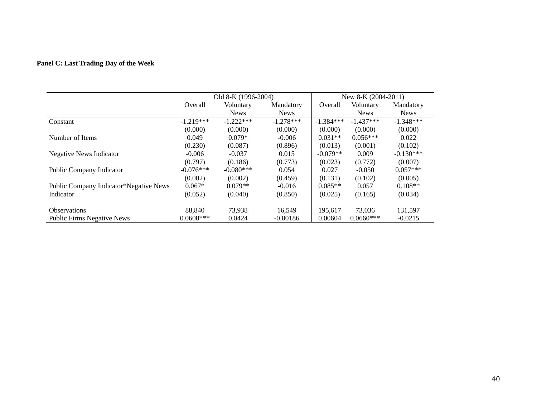## **Panel C: Last Trading Day of the Week**

|                                        | Old 8-K (1996-2004) |             |             | New 8-K $(2004-2011)$ |             |             |
|----------------------------------------|---------------------|-------------|-------------|-----------------------|-------------|-------------|
|                                        | Overall             | Voluntary   | Mandatory   | Overall               | Voluntary   | Mandatory   |
|                                        |                     | <b>News</b> | <b>News</b> |                       | <b>News</b> | <b>News</b> |
| Constant                               | $-1.219***$         | $-1.222***$ | $-1.278***$ | $-1.384***$           | $-1.437***$ | $-1.348***$ |
|                                        | (0.000)             | (0.000)     | (0.000)     | (0.000)               | (0.000)     | (0.000)     |
| Number of Items                        | 0.049               | $0.079*$    | $-0.006$    | $0.031**$             | $0.056***$  | 0.022       |
|                                        | (0.230)             | (0.087)     | (0.896)     | (0.013)               | (0.001)     | (0.102)     |
| <b>Negative News Indicator</b>         | $-0.006$            | $-0.037$    | 0.015       | $-0.079**$            | 0.009       | $-0.130***$ |
|                                        | (0.797)             | (0.186)     | (0.773)     | (0.023)               | (0.772)     | (0.007)     |
| Public Company Indicator               | $-0.076***$         | $-0.080***$ | 0.054       | 0.027                 | $-0.050$    | $0.057***$  |
|                                        | (0.002)             | (0.002)     | (0.459)     | (0.131)               | (0.102)     | (0.005)     |
| Public Company Indicator*Negative News | $0.067*$            | $0.079**$   | $-0.016$    | $0.085**$             | 0.057       | $0.108**$   |
| Indicator                              | (0.052)             | (0.040)     | (0.850)     | (0.025)               | (0.165)     | (0.034)     |
|                                        |                     |             |             |                       |             |             |
| <b>Observations</b>                    | 88.840              | 73,938      | 16.549      | 195.617               | 73,036      | 131,597     |
| <b>Public Firms Negative News</b>      | $0.0608***$         | 0.0424      | $-0.00186$  | 0.00604               | $0.0660***$ | $-0.0215$   |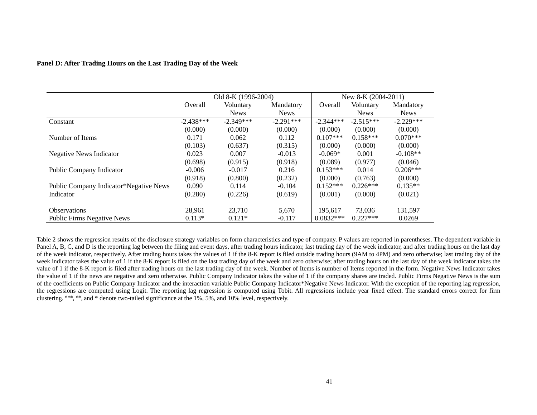| Panel D: After Trading Hours on the Last Trading Day of the Week |  |  |
|------------------------------------------------------------------|--|--|
|                                                                  |  |  |

|                                        | Old 8-K (1996-2004) |             |             | New 8-K $(2004-2011)$ |             |             |
|----------------------------------------|---------------------|-------------|-------------|-----------------------|-------------|-------------|
|                                        | Overall             | Voluntary   | Mandatory   | Overall               | Voluntary   | Mandatory   |
|                                        |                     | <b>News</b> | <b>News</b> |                       | <b>News</b> | <b>News</b> |
| Constant                               | $-2.438***$         | $-2.349***$ | $-2.291***$ | $-2.344***$           | $-2.515***$ | $-2.229***$ |
|                                        | (0.000)             | (0.000)     | (0.000)     | (0.000)               | (0.000)     | (0.000)     |
| Number of Items                        | 0.171               | 0.062       | 0.112       | $0.107***$            | $0.158***$  | $0.070***$  |
|                                        | (0.103)             | (0.637)     | (0.315)     | (0.000)               | (0.000)     | (0.000)     |
| <b>Negative News Indicator</b>         | 0.023               | 0.007       | $-0.013$    | $-0.069*$             | 0.001       | $-0.108**$  |
|                                        | (0.698)             | (0.915)     | (0.918)     | (0.089)               | (0.977)     | (0.046)     |
| Public Company Indicator               | $-0.006$            | $-0.017$    | 0.216       | $0.153***$            | 0.014       | $0.206***$  |
|                                        | (0.918)             | (0.800)     | (0.232)     | (0.000)               | (0.763)     | (0.000)     |
| Public Company Indicator*Negative News | 0.090               | 0.114       | $-0.104$    | $0.152***$            | $0.226***$  | $0.135**$   |
| Indicator                              | (0.280)             | (0.226)     | (0.619)     | (0.001)               | (0.000)     | (0.021)     |
|                                        |                     |             |             |                       |             |             |
| <b>Observations</b>                    | 28,961              | 23,710      | 5,670       | 195.617               | 73,036      | 131,597     |
| <b>Public Firms Negative News</b>      | $0.113*$            | $0.121*$    | $-0.117$    | $0.0832***$           | $0.227***$  | 0.0269      |

Table 2 shows the regression results of the disclosure strategy variables on form characteristics and type of company. P values are reported in parentheses. The dependent variable in Panel A, B, C, and D is the reporting lag between the filing and event days, after trading hours indicator, last trading day of the week indicator, and after trading hours on the last day of the week indicator, respectively. After trading hours takes the values of 1 if the 8-K report is filed outside trading hours (9AM to 4PM) and zero otherwise; last trading day of the week indicator takes the value of 1 if the 8-K report is filed on the last trading day of the week and zero otherwise; after trading hours on the last day of the week indicator takes the value of 1 if the 8-K report is filed after trading hours on the last trading day of the week. Number of Items is number of Items reported in the form. Negative News Indicator takes the value of 1 if the news are negative and zero otherwise. Public Company Indicator takes the value of 1 if the company shares are traded. Public Firms Negative News is the sum of the coefficients on Public Company Indicator and the interaction variable Public Company Indicator\*Negative News Indicator. With the exception of the reporting lag regression, the regressions are computed using Logit. The reporting lag regression is computed using Tobit. All regressions include year fixed effect. The standard errors correct for firm clustering. \*\*\*, \*\*, and \* denote two-tailed significance at the 1%, 5%, and 10% level, respectively.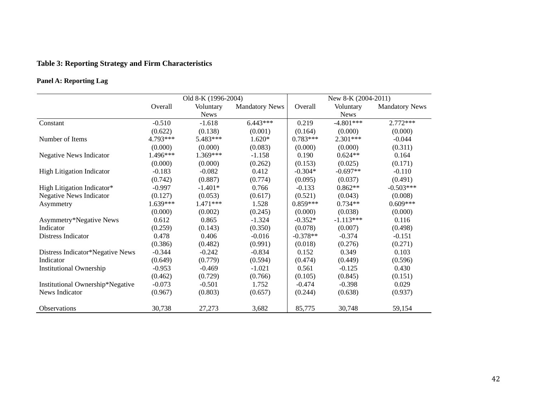# **Table 3: Reporting Strategy and Firm Characteristics**

### **Panel A: Reporting Lag**

|                                  | Old 8-K (1996-2004) |             |                       | New 8-K (2004-2011) |             |                       |
|----------------------------------|---------------------|-------------|-----------------------|---------------------|-------------|-----------------------|
|                                  | Overall             | Voluntary   | <b>Mandatory News</b> | Overall             | Voluntary   | <b>Mandatory News</b> |
|                                  |                     | <b>News</b> |                       |                     | <b>News</b> |                       |
| Constant                         | $-0.510$            | $-1.618$    | $6.443***$            | 0.219               | $-4.801***$ | $2.772***$            |
|                                  | (0.622)             | (0.138)     | (0.001)               | (0.164)             | (0.000)     | (0.000)               |
| Number of Items                  | 4.793***            | 5.483***    | $1.620*$              | $0.783***$          | $2.301***$  | $-0.044$              |
|                                  | (0.000)             | (0.000)     | (0.083)               | (0.000)             | (0.000)     | (0.311)               |
| Negative News Indicator          | 1.496***            | 1.369***    | $-1.158$              | 0.190               | $0.624**$   | 0.164                 |
|                                  | (0.000)             | (0.000)     | (0.262)               | (0.153)             | (0.025)     | (0.171)               |
| <b>High Litigation Indicator</b> | $-0.183$            | $-0.082$    | 0.412                 | $-0.304*$           | $-0.697**$  | $-0.110$              |
|                                  | (0.742)             | (0.887)     | (0.774)               | (0.095)             | (0.037)     | (0.491)               |
| High Litigation Indicator*       | $-0.997$            | $-1.401*$   | 0.766                 | $-0.133$            | $0.862**$   | $-0.503***$           |
| <b>Negative News Indicator</b>   | (0.127)             | (0.053)     | (0.617)               | (0.521)             | (0.043)     | (0.008)               |
| Asymmetry                        | 1.639***            | $1.471***$  | 1.528                 | $0.859***$          | $0.734**$   | $0.609***$            |
|                                  | (0.000)             | (0.002)     | (0.245)               | (0.000)             | (0.038)     | (0.000)               |
| Asymmetry*Negative News          | 0.612               | 0.865       | $-1.324$              | $-0.352*$           | $-1.113***$ | 0.116                 |
| Indicator                        | (0.259)             | (0.143)     | (0.350)               | (0.078)             | (0.007)     | (0.498)               |
| Distress Indicator               | 0.478               | 0.406       | $-0.016$              | $-0.378**$          | $-0.374$    | $-0.151$              |
|                                  | (0.386)             | (0.482)     | (0.991)               | (0.018)             | (0.276)     | (0.271)               |
| Distress Indicator*Negative News | $-0.344$            | $-0.242$    | $-0.834$              | 0.152               | 0.349       | 0.103                 |
| Indicator                        | (0.649)             | (0.779)     | (0.594)               | (0.474)             | (0.449)     | (0.596)               |
| <b>Institutional Ownership</b>   | $-0.953$            | $-0.469$    | $-1.021$              | 0.561               | $-0.125$    | 0.430                 |
|                                  | (0.462)             | (0.729)     | (0.766)               | (0.105)             | (0.845)     | (0.151)               |
| Institutional Ownership*Negative | $-0.073$            | $-0.501$    | 1.752                 | $-0.474$            | $-0.398$    | 0.029                 |
| News Indicator                   | (0.967)             | (0.803)     | (0.657)               | (0.244)             | (0.638)     | (0.937)               |
|                                  |                     |             |                       |                     |             |                       |
| Observations                     | 30,738              | 27,273      | 3,682                 | 85,775              | 30,748      | 59,154                |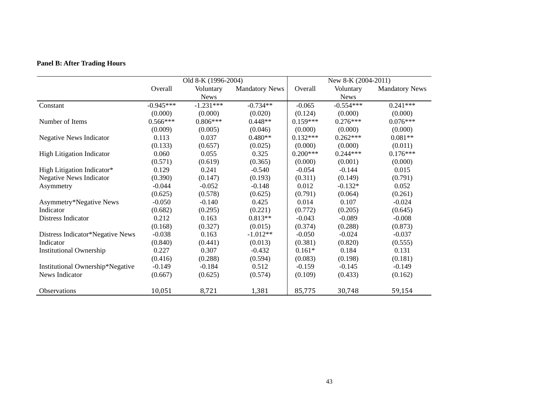# **Panel B: After Trading Hours**

|                                  |             | Old 8-K (1996-2004) |                       | New 8-K (2004-2011) |             |                       |
|----------------------------------|-------------|---------------------|-----------------------|---------------------|-------------|-----------------------|
|                                  | Overall     | Voluntary           | <b>Mandatory News</b> | Overall             | Voluntary   | <b>Mandatory News</b> |
|                                  |             | <b>News</b>         |                       |                     | <b>News</b> |                       |
| Constant                         | $-0.945***$ | $-1.231***$         | $-0.734**$            | $-0.065$            | $-0.554***$ | $0.241***$            |
|                                  | (0.000)     | (0.000)             | (0.020)               | (0.124)             | (0.000)     | (0.000)               |
| Number of Items                  | $0.566***$  | $0.806***$          | $0.448**$             | $0.159***$          | $0.276***$  | $0.076***$            |
|                                  | (0.009)     | (0.005)             | (0.046)               | (0.000)             | (0.000)     | (0.000)               |
| <b>Negative News Indicator</b>   | 0.113       | 0.037               | $0.480**$             | $0.132***$          | $0.262***$  | $0.081**$             |
|                                  | (0.133)     | (0.657)             | (0.025)               | (0.000)             | (0.000)     | (0.011)               |
| <b>High Litigation Indicator</b> | 0.060       | 0.055               | 0.325                 | $0.200***$          | $0.244***$  | $0.176***$            |
|                                  | (0.571)     | (0.619)             | (0.365)               | (0.000)             | (0.001)     | (0.000)               |
| High Litigation Indicator*       | 0.129       | 0.241               | $-0.540$              | $-0.054$            | $-0.144$    | 0.015                 |
| <b>Negative News Indicator</b>   | (0.390)     | (0.147)             | (0.193)               | (0.311)             | (0.149)     | (0.791)               |
| Asymmetry                        | $-0.044$    | $-0.052$            | $-0.148$              | 0.012               | $-0.132*$   | 0.052                 |
|                                  | (0.625)     | (0.578)             | (0.625)               | (0.791)             | (0.064)     | (0.261)               |
| Asymmetry*Negative News          | $-0.050$    | $-0.140$            | 0.425                 | 0.014               | 0.107       | $-0.024$              |
| Indicator                        | (0.682)     | (0.295)             | (0.221)               | (0.772)             | (0.205)     | (0.645)               |
| Distress Indicator               | 0.212       | 0.163               | $0.813**$             | $-0.043$            | $-0.089$    | $-0.008$              |
|                                  | (0.168)     | (0.327)             | (0.015)               | (0.374)             | (0.288)     | (0.873)               |
| Distress Indicator*Negative News | $-0.038$    | 0.163               | $-1.012**$            | $-0.050$            | $-0.024$    | $-0.037$              |
| Indicator                        | (0.840)     | (0.441)             | (0.013)               | (0.381)             | (0.820)     | (0.555)               |
| <b>Institutional Ownership</b>   | 0.227       | 0.307               | $-0.432$              | $0.161*$            | 0.184       | 0.131                 |
|                                  | (0.416)     | (0.288)             | (0.594)               | (0.083)             | (0.198)     | (0.181)               |
| Institutional Ownership*Negative | $-0.149$    | $-0.184$            | 0.512                 | $-0.159$            | $-0.145$    | $-0.149$              |
| News Indicator                   | (0.667)     | (0.625)             | (0.574)               | (0.109)             | (0.433)     | (0.162)               |
|                                  |             |                     |                       |                     |             |                       |
| Observations                     | 10,051      | 8,721               | 1,381                 | 85,775              | 30,748      | 59,154                |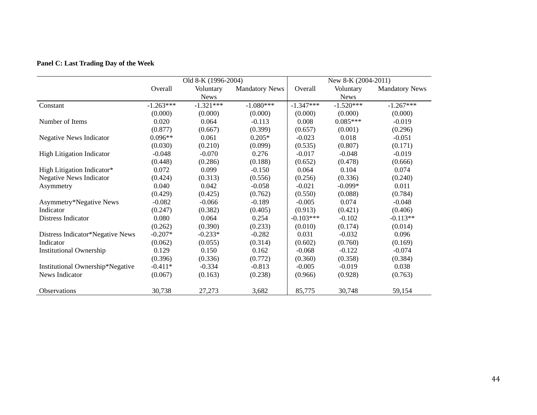## **Panel C: Last Trading Day of the Week**

|                                  | Old 8-K (1996-2004) |             |                       | New 8-K (2004-2011) |             |                       |
|----------------------------------|---------------------|-------------|-----------------------|---------------------|-------------|-----------------------|
|                                  | Overall             | Voluntary   | <b>Mandatory News</b> | Overall             | Voluntary   | <b>Mandatory News</b> |
|                                  |                     | <b>News</b> |                       |                     | <b>News</b> |                       |
| Constant                         | $-1.263***$         | $-1.321***$ | $-1.080***$           | $-1.347***$         | $-1.520***$ | $-1.267***$           |
|                                  | (0.000)             | (0.000)     | (0.000)               | (0.000)             | (0.000)     | (0.000)               |
| Number of Items                  | 0.020               | 0.064       | $-0.113$              | 0.008               | $0.085***$  | $-0.019$              |
|                                  | (0.877)             | (0.667)     | (0.399)               | (0.657)             | (0.001)     | (0.296)               |
| <b>Negative News Indicator</b>   | $0.096**$           | 0.061       | $0.205*$              | $-0.023$            | 0.018       | $-0.051$              |
|                                  | (0.030)             | (0.210)     | (0.099)               | (0.535)             | (0.807)     | (0.171)               |
| <b>High Litigation Indicator</b> | $-0.048$            | $-0.070$    | 0.276                 | $-0.017$            | $-0.048$    | $-0.019$              |
|                                  | (0.448)             | (0.286)     | (0.188)               | (0.652)             | (0.478)     | (0.666)               |
| High Litigation Indicator*       | 0.072               | 0.099       | $-0.150$              | 0.064               | 0.104       | 0.074                 |
| <b>Negative News Indicator</b>   | (0.424)             | (0.313)     | (0.556)               | (0.256)             | (0.336)     | (0.240)               |
| Asymmetry                        | 0.040               | 0.042       | $-0.058$              | $-0.021$            | $-0.099*$   | 0.011                 |
|                                  | (0.429)             | (0.425)     | (0.762)               | (0.550)             | (0.088)     | (0.784)               |
| Asymmetry*Negative News          | $-0.082$            | $-0.066$    | $-0.189$              | $-0.005$            | 0.074       | $-0.048$              |
| Indicator                        | (0.247)             | (0.382)     | (0.405)               | (0.913)             | (0.421)     | (0.406)               |
| Distress Indicator               | 0.080               | 0.064       | 0.254                 | $-0.103***$         | $-0.102$    | $-0.113**$            |
|                                  | (0.262)             | (0.390)     | (0.233)               | (0.010)             | (0.174)     | (0.014)               |
| Distress Indicator*Negative News | $-0.207*$           | $-0.233*$   | $-0.282$              | 0.031               | $-0.032$    | 0.096                 |
| Indicator                        | (0.062)             | (0.055)     | (0.314)               | (0.602)             | (0.760)     | (0.169)               |
| <b>Institutional Ownership</b>   | 0.129               | 0.150       | 0.162                 | $-0.068$            | $-0.122$    | $-0.074$              |
|                                  | (0.396)             | (0.336)     | (0.772)               | (0.360)             | (0.358)     | (0.384)               |
| Institutional Ownership*Negative | $-0.411*$           | $-0.334$    | $-0.813$              | $-0.005$            | $-0.019$    | 0.038                 |
| News Indicator                   | (0.067)             | (0.163)     | (0.238)               | (0.966)             | (0.928)     | (0.763)               |
|                                  |                     |             |                       |                     |             |                       |
| Observations                     | 30,738              | 27,273      | 3,682                 | 85,775              | 30,748      | 59,154                |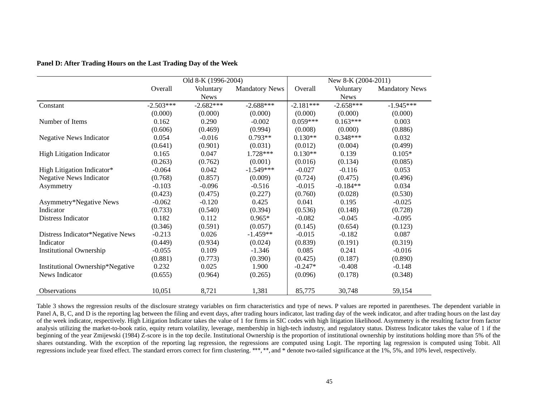|                                  | Old 8-K (1996-2004) |             |                       | New 8-K (2004-2011) |             |                       |
|----------------------------------|---------------------|-------------|-----------------------|---------------------|-------------|-----------------------|
|                                  | Overall             | Voluntary   | <b>Mandatory News</b> | Overall             | Voluntary   | <b>Mandatory News</b> |
|                                  |                     | <b>News</b> |                       |                     | <b>News</b> |                       |
| Constant                         | $-2.503***$         | $-2.682***$ | $-2.688***$           | $-2.181***$         | $-2.658***$ | $-1.945***$           |
|                                  | (0.000)             | (0.000)     | (0.000)               | (0.000)             | (0.000)     | (0.000)               |
| Number of Items                  | 0.162               | 0.290       | $-0.002$              | $0.059***$          | $0.163***$  | 0.003                 |
|                                  | (0.606)             | (0.469)     | (0.994)               | (0.008)             | (0.000)     | (0.886)               |
| Negative News Indicator          | 0.054               | $-0.016$    | $0.793**$             | $0.130**$           | $0.348***$  | 0.032                 |
|                                  | (0.641)             | (0.901)     | (0.031)               | (0.012)             | (0.004)     | (0.499)               |
| High Litigation Indicator        | 0.165               | 0.047       | 1.728***              | $0.130**$           | 0.139       | $0.105*$              |
|                                  | (0.263)             | (0.762)     | (0.001)               | (0.016)             | (0.134)     | (0.085)               |
| High Litigation Indicator*       | $-0.064$            | 0.042       | $-1.549***$           | $-0.027$            | $-0.116$    | 0.053                 |
| <b>Negative News Indicator</b>   | (0.768)             | (0.857)     | (0.009)               | (0.724)             | (0.475)     | (0.496)               |
| Asymmetry                        | $-0.103$            | $-0.096$    | $-0.516$              | $-0.015$            | $-0.184**$  | 0.034                 |
|                                  | (0.423)             | (0.475)     | (0.227)               | (0.760)             | (0.028)     | (0.530)               |
| Asymmetry*Negative News          | $-0.062$            | $-0.120$    | 0.425                 | 0.041               | 0.195       | $-0.025$              |
| Indicator                        | (0.733)             | (0.540)     | (0.394)               | (0.536)             | (0.148)     | (0.728)               |
| Distress Indicator               | 0.182               | 0.112       | $0.965*$              | $-0.082$            | $-0.045$    | $-0.095$              |
|                                  | (0.346)             | (0.591)     | (0.057)               | (0.145)             | (0.654)     | (0.123)               |
| Distress Indicator*Negative News | $-0.213$            | 0.026       | $-1.459**$            | $-0.015$            | $-0.182$    | 0.087                 |
| Indicator                        | (0.449)             | (0.934)     | (0.024)               | (0.839)             | (0.191)     | (0.319)               |
| <b>Institutional Ownership</b>   | $-0.055$            | 0.109       | $-1.346$              | 0.085               | 0.241       | $-0.016$              |
|                                  | (0.881)             | (0.773)     | (0.390)               | (0.425)             | (0.187)     | (0.890)               |
| Institutional Ownership*Negative | 0.232               | 0.025       | 1.900                 | $-0.247*$           | $-0.408$    | $-0.148$              |
| News Indicator                   | (0.655)             | (0.964)     | (0.265)               | (0.096)             | (0.178)     | (0.348)               |
|                                  |                     |             |                       |                     |             |                       |
| Observations                     | 10,051              | 8,721       | 1,381                 | 85,775              | 30,748      | 59,154                |

### **Panel D: After Trading Hours on the Last Trading Day of the Week**

Table 3 shows the regression results of the disclosure strategy variables on firm characteristics and type of news. P values are reported in parentheses. The dependent variable in Panel A, B, C, and D is the reporting lag between the filing and event days, after trading hours indicator, last trading day of the week indicator, and after trading hours on the last day of the week indicator, respectively. High Litigation Indicator takes the value of 1 for firms in SIC codes with high litigation likelihood. Asymmetry is the resulting factor from factor analysis utilizing the market-to-book ratio, equity return volatility, leverage, membership in high-tech industry, and regulatory status. Distress Indicator takes the value of 1 if the beginning of the year Zmijewski (1984) Z-score is in the top decile. Institutional Ownership is the proportion of institutional ownership by institutions holding more than 5% of the shares outstanding. With the exception of the reporting lag regression, the regressions are computed using Logit. The reporting lag regression is computed using Tobit. All regressions include year fixed effect. The standard errors correct for firm clustering. \*\*\*, \*\*, and \* denote two-tailed significance at the 1%, 5%, and 10% level, respectively.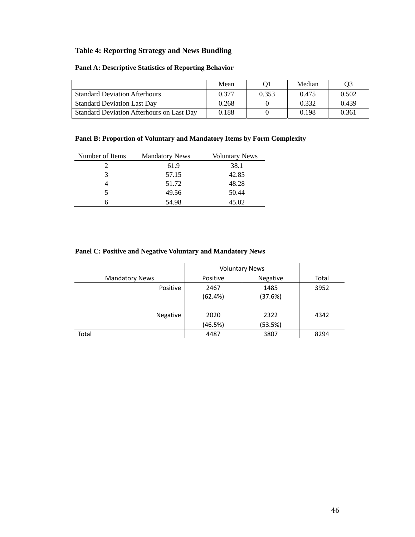### **Table 4: Reporting Strategy and News Bundling**

### **Panel A: Descriptive Statistics of Reporting Behavior**

|                                           | Mean  |       | Median | O3    |
|-------------------------------------------|-------|-------|--------|-------|
| <b>Standard Deviation Afterhours</b>      | 0.377 | 0.353 | 0.475  | 0.502 |
| <b>Standard Deviation Last Day</b>        | 0.268 |       | 0.332  | 0.439 |
| Standard Deviation Afterhours on Last Day | 0.188 |       | 0.198  | 0.361 |

### **Panel B: Proportion of Voluntary and Mandatory Items by Form Complexity**

| Number of Items | <b>Mandatory News</b> | <b>Voluntary News</b> |
|-----------------|-----------------------|-----------------------|
|                 | 61.9                  | 38.1                  |
| 3               | 57.15                 | 42.85                 |
|                 | 51.72                 | 48.28                 |
|                 | 49.56                 | 50.44                 |
|                 | 54.98                 | 45.02                 |

### **Panel C: Positive and Negative Voluntary and Mandatory News**

|                       | <b>Voluntary News</b> |          |       |
|-----------------------|-----------------------|----------|-------|
| <b>Mandatory News</b> | Positive              | Negative | Total |
| Positive              | 2467                  | 1485     | 3952  |
|                       | (62.4%)               | (37.6%)  |       |
| Negative              | 2020                  | 2322     | 4342  |
|                       | (46.5%)               | (53.5%)  |       |
| Total                 | 4487                  | 3807     | 8294  |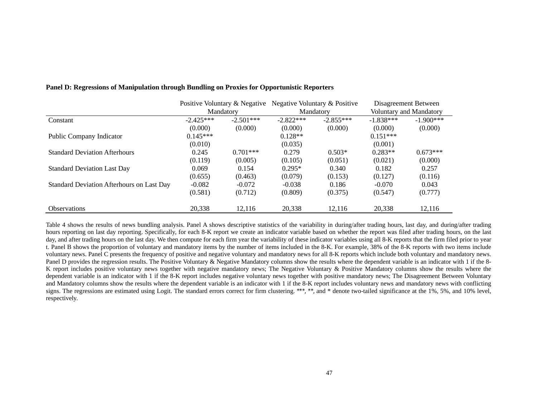|                                           | Positive Voluntary & Negative<br>Mandatory |             | Negative Voluntary & Positive |             | Disagreement Between    |              |
|-------------------------------------------|--------------------------------------------|-------------|-------------------------------|-------------|-------------------------|--------------|
|                                           |                                            |             | Mandatory                     |             | Voluntary and Mandatory |              |
| Constant                                  | $-2.425***$                                | $-2.501***$ | $-2.822***$                   | $-2.855***$ | $-1.838***$             | $-1.900$ *** |
|                                           | (0.000)                                    | (0.000)     | (0.000)                       | (0.000)     | (0.000)                 | (0.000)      |
| Public Company Indicator                  | $0.145***$                                 |             | $0.128**$                     |             | $0.151***$              |              |
|                                           | (0.010)                                    |             | (0.035)                       |             | (0.001)                 |              |
| <b>Standard Deviation Afterhours</b>      | 0.245                                      | $0.701***$  | 0.279                         | $0.503*$    | $0.283**$               | $0.673***$   |
|                                           | (0.119)                                    | (0.005)     | (0.105)                       | (0.051)     | (0.021)                 | (0.000)      |
| <b>Standard Deviation Last Day</b>        | 0.069                                      | 0.154       | $0.295*$                      | 0.340       | 0.182                   | 0.257        |
|                                           | (0.655)                                    | (0.463)     | (0.079)                       | (0.153)     | (0.127)                 | (0.116)      |
| Standard Deviation Afterhours on Last Day | $-0.082$                                   | $-0.072$    | $-0.038$                      | 0.186       | $-0.070$                | 0.043        |
|                                           | (0.581)                                    | (0.712)     | (0.809)                       | (0.375)     | (0.547)                 | (0.777)      |
| <b>Observations</b>                       | 20,338                                     | 12,116      | 20,338                        | 12,116      | 20,338                  | 12,116       |

#### **Panel D: Regressions of Manipulation through Bundling on Proxies for Opportunistic Reporters**

Table 4 shows the results of news bundling analysis. Panel A shows descriptive statistics of the variability in during/after trading hours, last day, and during/after trading hours reporting on last day reporting. Specifically, for each 8-K report we create an indicator variable based on whether the report was filed after trading hours, on the last day, and after trading hours on the last day. We then compute for each firm year the variability of these indicator variables using all 8-K reports that the firm filed prior to year t. Panel B shows the proportion of voluntary and mandatory items by the number of items included in the 8-K. For example, 38% of the 8-K reports with two items include voluntary news. Panel C presents the frequency of positive and negative voluntary and mandatory news for all 8-K reports which include both voluntary and mandatory news. Panel D provides the regression results. The Positive Voluntary & Negative Mandatory columns show the results where the dependent variable is an indicator with 1 if the 8-K report includes positive voluntary news together with negative mandatory news; The Negative Voluntary & Positive Mandatory columns show the results where the dependent variable is an indicator with 1 if the 8-K report includes negative voluntary news together with positive mandatory news; The Disagreement Between Voluntary and Mandatory columns show the results where the dependent variable is an indicator with 1 if the 8-K report includes voluntary news and mandatory news with conflicting signs. The regressions are estimated using Logit. The standard errors correct for firm clustering. \*\*\*, \*\*, and \* denote two-tailed significance at the 1%, 5%, and 10% level, respectively.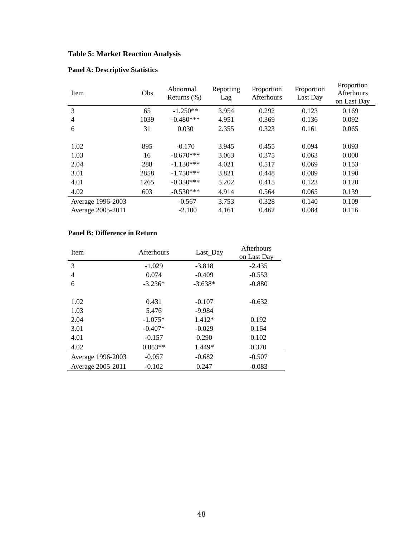# **Table 5: Market Reaction Analysis**

| Item              | Obs  | Abnormal<br>Returns $(\% )$ | Reporting<br>Lag | Proportion<br>Afterhours | Proportion<br>Last Day | Proportion<br>Afterhours<br>on Last Day |
|-------------------|------|-----------------------------|------------------|--------------------------|------------------------|-----------------------------------------|
| 3                 | 65   | $-1.250**$                  | 3.954            | 0.292                    | 0.123                  | 0.169                                   |
| 4                 | 1039 | $-0.480***$                 | 4.951            | 0.369                    | 0.136                  | 0.092                                   |
| 6                 | 31   | 0.030                       | 2.355            | 0.323                    | 0.161                  | 0.065                                   |
|                   |      |                             |                  |                          |                        |                                         |
| 1.02              | 895  | $-0.170$                    | 3.945            | 0.455                    | 0.094                  | 0.093                                   |
| 1.03              | 16   | $-8.670***$                 | 3.063            | 0.375                    | 0.063                  | 0.000                                   |
| 2.04              | 288  | $-1.130***$                 | 4.021            | 0.517                    | 0.069                  | 0.153                                   |
| 3.01              | 2858 | $-1.750***$                 | 3.821            | 0.448                    | 0.089                  | 0.190                                   |
| 4.01              | 1265 | $-0.350***$                 | 5.202            | 0.415                    | 0.123                  | 0.120                                   |
| 4.02              | 603  | $-0.530***$                 | 4.914            | 0.564                    | 0.065                  | 0.139                                   |
| Average 1996-2003 |      | $-0.567$                    | 3.753            | 0.328                    | 0.140                  | 0.109                                   |
| Average 2005-2011 |      | $-2.100$                    | 4.161            | 0.462                    | 0.084                  | 0.116                                   |

## **Panel A: Descriptive Statistics**

## **Panel B: Difference in Return**

| Item              | Afterhours | Last_Day  | <b>Afterhours</b><br>on Last Day |
|-------------------|------------|-----------|----------------------------------|
| 3                 | $-1.029$   | $-3.818$  | $-2.435$                         |
| $\overline{4}$    | 0.074      | $-0.409$  | $-0.553$                         |
| 6                 | $-3.236*$  | $-3.638*$ | $-0.880$                         |
|                   |            |           |                                  |
| 1.02              | 0.431      | $-0.107$  | $-0.632$                         |
| 1.03              | 5.476      | $-9.984$  |                                  |
| 2.04              | $-1.075*$  | $1.412*$  | 0.192                            |
| 3.01              | $-0.407*$  | $-0.029$  | 0.164                            |
| 4.01              | $-0.157$   | 0.290     | 0.102                            |
| 4.02              | $0.853**$  | 1.449*    | 0.370                            |
| Average 1996-2003 | $-0.057$   | $-0.682$  | $-0.507$                         |
| Average 2005-2011 | $-0.102$   | 0.247     | $-0.083$                         |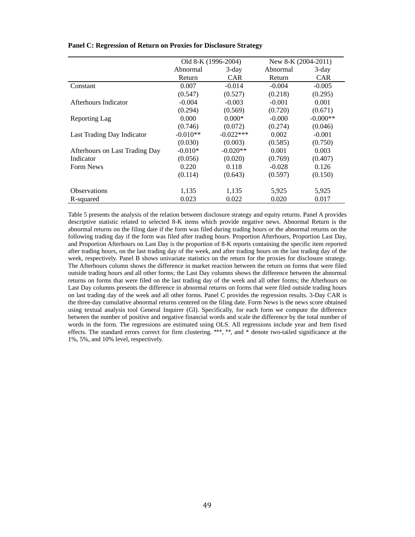|                                | Old 8-K (1996-2004) |             | New 8-K (2004-2011) |            |
|--------------------------------|---------------------|-------------|---------------------|------------|
|                                | Abnormal            | 3-day       | Abnormal            | $3$ -day   |
|                                | Return              | <b>CAR</b>  | Return              | <b>CAR</b> |
| Constant                       | 0.007               | $-0.014$    | $-0.004$            | $-0.005$   |
|                                | (0.547)             | (0.527)     | (0.218)             | (0.295)    |
| Afterhours Indicator           | $-0.004$            | $-0.003$    | $-0.001$            | 0.001      |
|                                | (0.294)             | (0.569)     | (0.720)             | (0.671)    |
| Reporting Lag                  | 0.000               | $0.000*$    | $-0.000$            | $-0.000**$ |
|                                | (0.746)             | (0.072)     | (0.274)             | (0.046)    |
| Last Trading Day Indicator     | $-0.010**$          | $-0.022***$ | 0.002               | $-0.001$   |
|                                | (0.030)             | (0.003)     | (0.585)             | (0.750)    |
| Afterhours on Last Trading Day | $-0.010*$           | $-0.020**$  | 0.001               | 0.003      |
| Indicator                      | (0.056)             | (0.020)     | (0.769)             | (0.407)    |
| Form News                      | 0.220               | 0.118       | $-0.028$            | 0.126      |
|                                | (0.114)             | (0.643)     | (0.597)             | (0.150)    |
| <b>Observations</b>            | 1,135               | 1,135       | 5,925               | 5,925      |
| R-squared                      | 0.023               | 0.022       | 0.020               | 0.017      |

#### **Panel C: Regression of Return on Proxies for Disclosure Strategy**

Table 5 presents the analysis of the relation between disclosure strategy and equity returns. Panel A provides descriptive statistic related to selected 8-K items which provide negative news. Abnormal Return is the abnormal returns on the filing date if the form was filed during trading hours or the abnormal returns on the following trading day if the form was filed after trading hours. Proportion Afterhours, Proportion Last Day, and Proportion Afterhours on Last Day is the proportion of 8-K reports containing the specific item reported after trading hours, on the last trading day of the week, and after trading hours on the last trading day of the week, respectively. Panel B shows univariate statistics on the return for the proxies for disclosure strategy. The Afterhours column shows the difference in market reaction between the return on forms that were filed outside trading hours and all other forms; the Last Day columns shows the difference between the abnormal returns on forms that were filed on the last trading day of the week and all other forms; the Afterhours on Last Day columns presents the difference in abnormal returns on forms that were filed outside trading hours on last trading day of the week and all other forms. Panel C provides the regression results. 3-Day CAR is the three-day cumulative abnormal returns centered on the filing date. Form News is the news score obtained using textual analysis tool General Inquirer (GI). Specifically, for each form we compute the difference between the number of positive and negative financial words and scale the difference by the total number of words in the form. The regressions are estimated using OLS. All regressions include year and Item fixed effects. The standard errors correct for firm clustering. \*\*\*, \*\*, and \* denote two-tailed significance at the 1%, 5%, and 10% level, respectively.